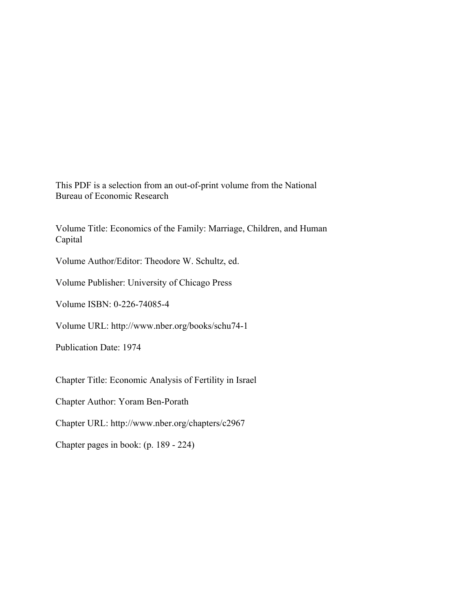This PDF is a selection from an out-of-print volume from the National Bureau of Economic Research

Volume Title: Economics of the Family: Marriage, Children, and Human Capital

Volume Author/Editor: Theodore W. Schultz, ed.

Volume Publisher: University of Chicago Press

Volume ISBN: 0-226-74085-4

Volume URL: http://www.nber.org/books/schu74-1

Publication Date: 1974

Chapter Title: Economic Analysis of Fertility in Israel

Chapter Author: Yoram Ben-Porath

Chapter URL: http://www.nber.org/chapters/c2967

Chapter pages in book: (p. 189 - 224)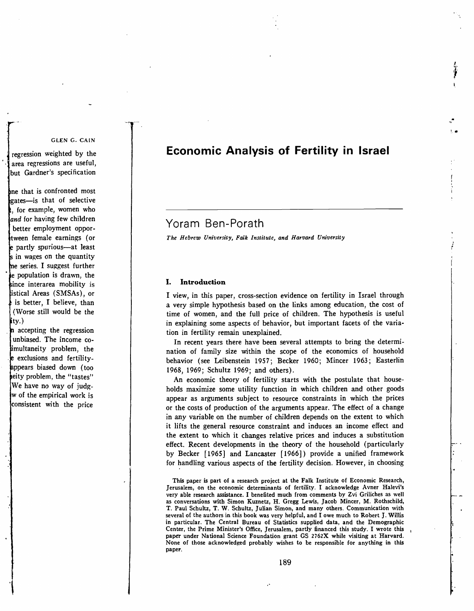# Yoram Ben-Porath

The Hebrew University, Falk Institute, and Harvard University

# I. Introduction

I view, in this paper, cross-section evidence on fertility in Israel through a very simple hypothesis based on the links among education, the cost of time of women, and the full price of children. The hypothesis is useful in explaining some aspects of behavior, but important facets of the variation in fertility remain unexplained.

In recent years there have been several attempts to bring the determination of family size within the scope of the economics of household behavior (see Leibenstein 1957; Becker 1960; Mincer 1963; Easterlin 1968, 1969; Schultz 1969; and others).

An economic theory of fertility starts with the postulate that households maximize some utility function in which children and other goods appear as arguments subject to resource constraints in which the prices or the costs of production of the arguments appear. The effect of a change in any variable on the number of children depends on the extent to which it lifts the general resource constraint and induces an income effect and the extent to which it changes relative prices and induces a substitution effect. Recent developments in the theory of the household (particularly by Becker [1965] and Lancaster [1966]) provide a unified framework for handling various aspects of the fertility decision. However, in choosing

 $\ddot{\phantom{0}}$ 

This paper is part of a research project at the Falk Institute of Economic Research, Jerusalem, on the economic determinants of fertility. I acknowledge Avner Halevi's very able research assistance. I benefited much from comments by Zvi Griliches as well as conversations with Simon Kuznetz, H. Gregg Lewis, Jacob Mincer, M. Rothschild, T. Paul Schultz, T. W. Schultz, Julian Simon, and many others. Communication with several of the authors in this book was very helpful, and I owe much to Robert J. Willis in particular. The Central Bureau of Statistics supplied data, and the Demographic Center, the Prime Minister's Office, Jerusalem, partly financed this study. I wrote this paper under National Science Foundation grant GS 2762X while visiting at Harvard. None of those acknowledged probably wishes to be responsible for anything in this paper.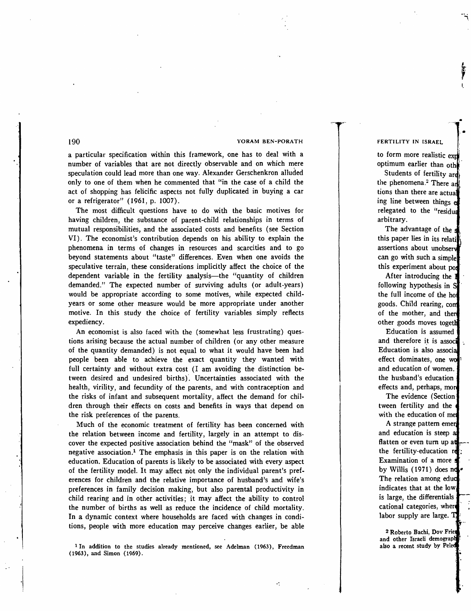YORAM BEN-PORATH

 $\mathbf{r}_i^*$ 

T FERTILE

a particular specification within this framework, one has to deal with a number of variables that are not directly observable and on which mere speculation could lead more than one way. Alexander Gerschenkron alluded only to one of them when he commented that "in the case of a child the act of shopping has felicific aspects not fully duplicated in buying a car or a refrigerator" (1961, p. 1007).

The most difficult questions have to do with the basic motives for having children, the substance of parent-child relationships in terms of mutual responsibilities, and the associated costs and benefits (see Section VI). The economist's contribution depends on his ability to explain the phenomena in terms of changes in resources and scarcities and to go beyond statements about "taste" differences. Even when one avoids the speculative terrain, these considerations implicitly affect the choice of the dependent variable in the fertility analysis—the "quantity of children demanded." The expected number of surviving adults (or adult-years) would be appropriate according to some motives, while expected childyears or some other measure would be more appropriate under another motive. In this study the choice of fertility variables simply reflects expediency.

An economist is also faced with the (somewhat less frustrating) questions arising because the actual number of children (or any other measure of the quantity demanded) is not equal to what it would have been had people been able to achieve the exact quantity they wanted with full certainty and without extra cost (I am avoiding the distinction between desired and undesired births). Uncertainties associated with the health, virility, and fecundity of the parents, and with contraception and the risks of infant and subsequent mortality, affect the demand for children through their effects on costs and benefits in ways that depend on the risk preferences of the parents.

Much of the economic treatment of fertility has been concerned with the relation between income and fertility, largely in an attempt to discover the expected positive association behind the "mask" of the observed negative association.' The emphasis in this paper is on the relation with education. Education of parents is likely to be associated with every aspect of the fertility model. It may affect not only the individual parent's preferences for children and the relative importance of husband's and wife's preferences in family decision making, but also parental productivity in child rearing and in other activities; it may affect the ability to control the number of births as well as reduce the incidence of child mortality. In a dynamic context where households are faced with changes in conditions, people with more education may perceive changes earlier, be able

<sup>1</sup> In addition to the studies already mentioned, see Adelman (1963), Freedman (1963), and Simon (1969).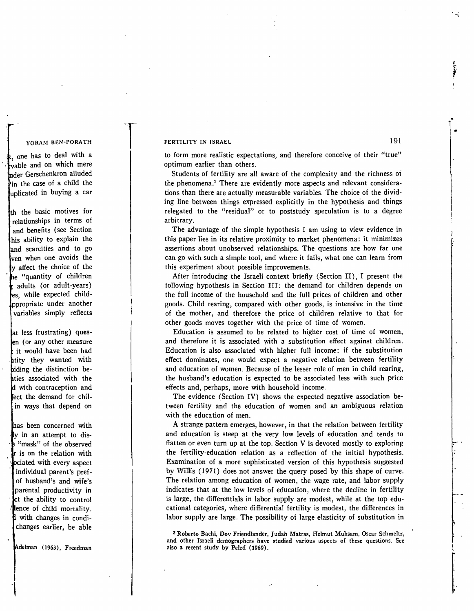to form more realistic expectations, and therefore conceive of their "true" optimum earlier than others.

Students of fertility are all aware of the complexity and the richness of the phenomena.<sup>2</sup> There are evidently more aspects and relevant considerations than there are actually measurable variables. The choice of the dividing line between things expressed explicitly in the hypothesis and things relegated to the "residual" or to poststudy speculation is to a degree arbitrary.

The advantage of the simple hypothesis I am using to view evidence in this paper lies in its relative proximity to market phenomena: it minimizes assertions about unobserved relationships. The questions are how far one can go with such a simple tool, and where it fails, what one can learn from this experiment about possible improvements.

After introducing the Israeli context briefly (Section II), I present the following hypothesis in Section III: the demand for children depends on the full income of the household and the full prices of children and other goods. Child rearing, compared with other goods, is intensive in the time of the mother, and therefore the price of children relative to that for other goods moves together with the price of time of women.

Education is assumed to be related to higher cost of time of women, and therefore it is associated with a substitution effect against children. Education is also associated with higher full income: if the substitution effect dominates, one would expect a negative relation between fertility and education of women. Because of the lesser role of men in child rearing, the husband's education is expected to be associated less with such price effects and, perhaps, more with household income.

The evidence (Section IV) shows the expected negative association between fertility and the education of women and an ambiguous relation with the education of men.

A strange pattern emerges, however, in that the relation between fertility and education is steep at the very low levels of education and tends to flatten or even turn up at the top. Section V is devoted mostly to exploring the fertility-education relation as a reflection of the initial hypothesis. Examination of a more sophisticated version of this hypothesis suggested by Willis (1971) does not answer the query posed by this shape of curve. The relation among education of women, the wage rate, and labor supply indicates that at the low levels of education, where the decline in fertility is large, the differentials in labor supply are modest, while at the top educational categories, where differential fertility is modest, the differences in labor supply are large. The possibility of large elasticity of substitution in

2 Roberto Bach!, Dov Friendlander, Judah Matras, Helmut Muhsam, Oscar Schmeltz, and other Israeli demographers have studied various aspects of these questions. See also a recent study by Peled (1969).

 $\cdot$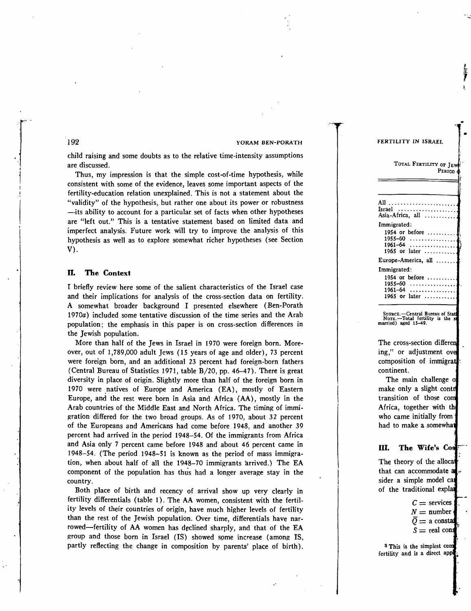$\epsilon^*$ 

child raising and some doubts as to the relative time-intensity assumptions are discussed.

Thus, my impression is that the simple cost-of-time hypothesis, while consistent with some of the evidence, leaves some important aspects of the fertility-education relation unexplained. This is not a statement about the "validity" of the hypothesis, but rather one about its power or robustness  $-$ its ability to account for a particular set of facts when other hypotheses are "left out." This is a tentative statement based on limited data and imperfect analysis. Future work will try to improve the analysis of this hypothesis as well as to explore somewhat richer hypotheses (see Section  $V$ ).

## II. The Context

t briefly review here some of the salient characteristics of the Israel case and their implications for analysis of the cross-section data on fertility. A somewhat broader background I presented elsewhere (Ben-Porath 1970a) included some tentative discussion of the time series and the Arab population; the emphasis in this paper is on cross-section differences in the Jewish population.

More than half of the Jews in Israel in 1970 were foreign born. Moreover, out of 1,789,000 adult Jews (15 years of age and older), 73 percent were foreign born, and an additional 23 percent had foreign-born fathers (Central Bureau of Statistics 1971, table B/20, pp. 46—47). There is great diversity in place of origin. Slightly more than half of the foreign born in 1970 were natives of Europe and America (EA), mostly of Eastern Europe, and the rest were born in Asia and Africa (AA), mostly in the Arab countries of the Middle East and North Africa. The timing of immigration differed for the two broad groups. As of 1970, about 32 percent of the Europeans and Americans had come before 1948, and another 39 percent had arrived in the period 1948—54. Of the immigrants from Africa and Asia only 7 percent came before 1948 and about 46 percent came in 1948—54. (The period 1948—51 is known as the period of mass immigration, when about half of all the 1948—70 immigrants arrived.) The EA component of the population has thus had a longer average stay in the country.

Both place of birth and recency of arrival show up very clearly in fertility differentials (table 1). The AA women, consistent with the fertility levels of their countries of origin, have much higher levels of fertility than the rest of the Jewish population. Over time, differentials have narrowed—fertility of AA women has declined sharply, and that of the EA group and those born in Israel (IS) showed some increase (among IS, partly reflecting the change in composition by parents' place of birth).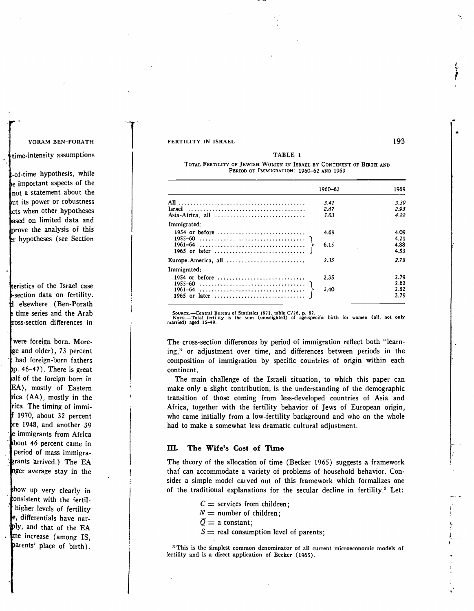#### TABLE 1

|                                                                                                                                                                      | 1960-62 | 1969 |
|----------------------------------------------------------------------------------------------------------------------------------------------------------------------|---------|------|
|                                                                                                                                                                      | 3.41    | 3.39 |
| $Israel \dots \dots \dots \dots \dots \dots \dots \dots \dots \dots \dots \dots \dots \dots$                                                                         | 2.67    | 2.95 |
| Asia-Africa, all $\dots\dots\dots\dots\dots\dots\dots\dots\dots\dots\dots$                                                                                           | 5.03    | 4.22 |
| Immigrated:                                                                                                                                                          |         |      |
| 1954 or before                                                                                                                                                       | 4.69    | 4.09 |
|                                                                                                                                                                      |         | 4.21 |
|                                                                                                                                                                      | 6.15    | 4.88 |
| $\left\{\n \begin{array}{c}\n 1955-60 \\  1961-64 \\  \hline\n 1965 \text{ or later} \\  \end{array}\n \right.\n \left.\n \begin{array}{c}\n \end{array}\n \right\}$ |         | 4.53 |
| Europe-America, all                                                                                                                                                  | 2.35    | 2.78 |
| Immigrated:                                                                                                                                                          |         |      |
| 1954 or before                                                                                                                                                       | 2.35    | 2.79 |
|                                                                                                                                                                      |         | 2.62 |
|                                                                                                                                                                      | 2.40    | 2.82 |
|                                                                                                                                                                      |         | 3.79 |

TOTAL FERTILITY OP JEWISH WOMEN IN ISRAEL BY CONTINENT OP BIRTH AND PERIOD OF IMMIGRATION: 1960—62 AND 1969

Source.—Central Bureau of Statistics 1971, table C/26, p. 82.<br>Nore.—Total fertility is the sum (unweighted) of age-specific birth for women (all, not only<br>married) aged 15—49.

The cross-section differences by period of immigration reflect both "learning," or adjustment over time, and differences between periods in the composition of immigration by specific countries of origin within each continent.

The main challenge of the Israeli situation, to which this paper can make only a slight contribution, is the understanding of the demographic transition of those coming from less-developed countries of Asia and Africa, together with the fertility behavior of Jews of European origin, who came initially from a low-fertility background and who on the whole had to make a somewhat less dramatic cultural adjustment.

## III. The Wife's Cost of Time

The theory of the allocation of time (Becker 1965) suggests a framework that can accommodate a variety of problems of household behavior. Consider a simple model carved out of this framework which formalizes one of the traditional explanations for the secular decline in fertility.<sup>3</sup> Let:

> $C =$  services from children;  $N =$  number of children;  $\overline{Q} =$  a constant;  $S =$  real consumption level of parents;

<sup>3</sup> This is the simplest common denominator of all current microeconomic models of fertility and is a direct application of Becker (1965).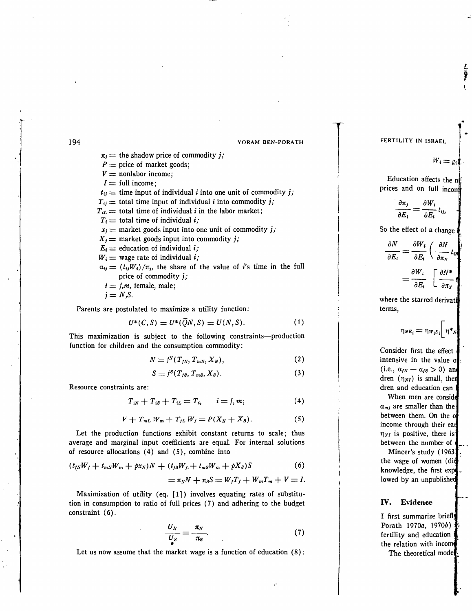$\pi_i$  = the shadow price of commodity *j*;

 $P =$  price of market goods;

 $V =$  nonlabor income;<br>  $I =$  full income:

$$
I = \text{full income};
$$

 $t_{ij}$  = time input of individual *i* into one unit of commodity *j*;

 $T_{ij}$  = total time input of individual *i* into commodity *j*;

 $T_{iL}$  = total time of individual *i* in the labor market;

 $T_i$  = total time of individual *i*;

 $x_i$  = market goods input into one unit of commodity j;

 $X_j$  = market goods input into commodity *j*;<br> $E_i$  = education of individual *i*;

 $W_i$  = wage rate of individual *i*;<br> $\alpha_{ij} = (t_{ij}W_i)/\pi_j$ , the share of the value of *i*'s time in the full price of commodity  $j$ ;

 $i = f, m$ , female, male;  $j = N, S$ .

Parents are postulated to maximize a utility function:

$$
U^*(C, S) = U^*(\bar{Q}N, S) = U(N, S). \tag{1}
$$

This maximization is subject to the following constraints—production function for children and the consumption commodity:

$$
N = f^N(T_{fN}, T_{mN}, X_N), \qquad (2)
$$

$$
S = f^s(T_{\text{1S}}, T_{\text{mS}}, X_S). \tag{3}
$$

Resource constraints are:

$$
T_{iN} + T_{iS} + T_{iL} = T_i, \t i = f, m;
$$
\t(4)

$$
V + T_{mL} W_m + T_{fL} W_f = P(X_N + X_S).
$$
 (5)

Let the production functions exhibit constant returns to scale; thus average and marginal input coefficients are equal. For internal solutions of resource allocations  $(4)$  and  $(5)$ , combine into

$$
(t_{fN}W_f + t_{mN}W_m + px_N)N + (t_{fS}W_f + t_{mS}W_m + pX_S)S
$$
 (6)

$$
=\pi_N N+\pi_S S=W_f T_f+W_m T_m+V=I.
$$

Maximization of utility (eq. [1]) involves equating rates of substitution in consumption to ratio of full prices  $(7)$  and adhering to the budget  $constraint (6).$ 

$$
\frac{U_N}{U_S} = \frac{\pi_N}{\pi_S}.\tag{7}
$$

 $\cdot$ 

Let us now assume that the market wage is a function of education  $(8)$ :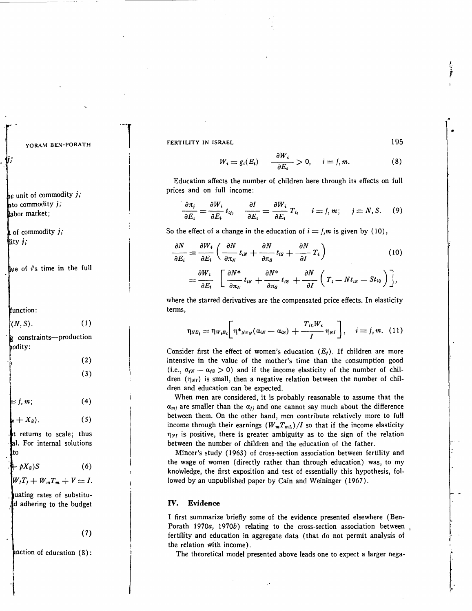.

$$
W_i = g_i(E_i) \qquad \frac{\partial W_i}{\partial E_i} > 0, \qquad i = j, m. \tag{8}
$$

Education affects the number of children here through its effects on full prices and on full income:

$$
\frac{\partial \pi_j}{\partial E_i} = \frac{\partial W_i}{\partial E_i} t_{ij}, \quad \frac{\partial I}{\partial E_i} = \frac{\partial W_i}{\partial E_i} T_{i}, \quad i = j, m; \quad j = N, S. \quad (9)
$$

So the effect of a change in the education of  $i = f, m$  is given by (10),

$$
\frac{\partial N}{\partial E_i} = \frac{\partial W_i}{\partial E_i} \left( \frac{\partial N}{\partial \pi_N} t_{iN} + \frac{\partial N}{\partial \pi_S} t_{iS} + \frac{\partial N}{\partial I} T_i \right) \tag{10}
$$

$$
= \frac{\partial W_i}{\partial E_i} \left[ \frac{\partial N^*}{\partial \pi_X} t_{iN} + \frac{\partial N^*}{\partial \pi_S} t_{iS} + \frac{\partial N}{\partial I} \left( T_i - N t_{iN} - St_{iS} \right) \right],
$$

where the starred derivatives are the compensated price effects. In elasticity terms,

$$
\eta_{NE_i} = \eta_{W_iE_i} \left[ \eta *_{N\pi_N} (\alpha_{iN} - \alpha_{iS}) + \frac{T_{iL}W_i}{I} \eta_{NI} \right], \quad i = j, m. \tag{11}
$$

Consider first the effect of women's education  $(E_t)$ . If children are more intensive in the value of the mother's time than the consumption good (i.e.,  $\alpha_{1N} - \alpha_{1S} > 0$ ) and if the income elasticity of the number of children  $(\eta_{NI})$  is small, then a negative relation between the number of children and education can be expected.

When men are considered, it is probably reasonable to assume that the  $\alpha_{mi}$  are smaller than the  $\alpha_{li}$  and one cannot say much about the difference between them. On the other hand, men contribute relatively more to full income through their earnings  $(W_m T_{mL})/I$  so that if the income elasticity  $\eta_{NL}$  is positive, there is greater ambiguity as to the sign of the relation between the number of children and the education of the father.

Mincer's study (1963) of cross-section association between fertility and the wage of women (directly rather than through education) was, to my knowledge, the first exposition and test of essentially this hypothesis, followed by an unpublished paper by Cain and Weininger (1967).

# IV. Evidence

I first summarize briefly some of the evidence presented elsewhere (Ben-Porath 1970a, 1970b) relating to the cross-section association between fertility and education in aggregate data (that do not permit analysis of the relation with income).

The theoretical model presented above leads one to expect a larger nega-

 $\epsilon^{\prime}$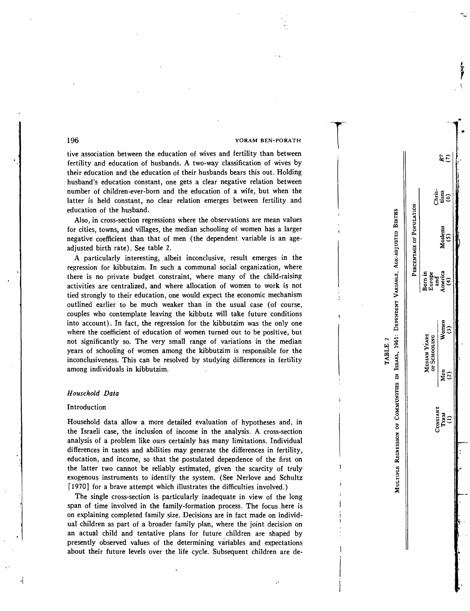#### 196 YORAM BEN-P0RATH

 $\cdot$ 

tive association between the education of wives and fertility than between fertility and education of husbands. A two-way classification of wives by their education and the education of their husbands bears this out. Holding husband's education constant, one gets a clear negative relation between number of children-ever-born and the education of a wife, but when the latter is held constant, no clear relation emerges between fertility and education of the husband.

Also, in cross-section regressions where the observations are mean values for cities, towns, and villages, the median schooling of women has a larger negative coefficient than that of men (the dependent variable is an ageadjusted birth rate). See table 2.

A particularly interesting, albeit inconclusive, result emerges in the regression for kibbutzim. In such a communal social organization, where there is no private budget constraint, where many of the child-raising activities are centralized, and where allocation of women to work is not tied strongly to their education, one would expect the economic mechanism outlined earlier to be much weaker than in the usual case (of course, couples who contemplate leaving the kibbutz will take future conditions into account). In fact, the regression for the kibbutzim was the only one where the coefficient of education of women turned out to be positive, but not significantly so. The very small range of variations in the median years of schooling of women among the kibbutzim is responsible for the inconclusiveness. This can be resolved by studying differences in fertility among individuals in kibbutzim.

# Household Data

#### Introduction

Household data allow a more detailed evaluation of hypotheses and, in the Israeli case, the inclusion of income in the analysis. A cross-section analysis of a problem like ours certainly has many limitations. Individual differences in tastes and abilities may generate the differences in fertility, education, and income, so that the postulated dependence of the first on the latter two cannot be reliably estimated, given the scarcity of truly exogenous instruments to identify the system. (See Nerlove and Schultz [1970] for a brave attempt which illustrates the difficulties involved.)

The single cross-section is particularly inadequate in view of the long span of time involved in the family-formation process. The focus here is on explaining completed family size. Decisions are in fact made on individual children as part of a broader family plan, where the joint decision on an actual child and tentative plans for future children are shaped by presently observed values of the determining variables and expectations about their future levels over the life cycle. Subsequent children are de-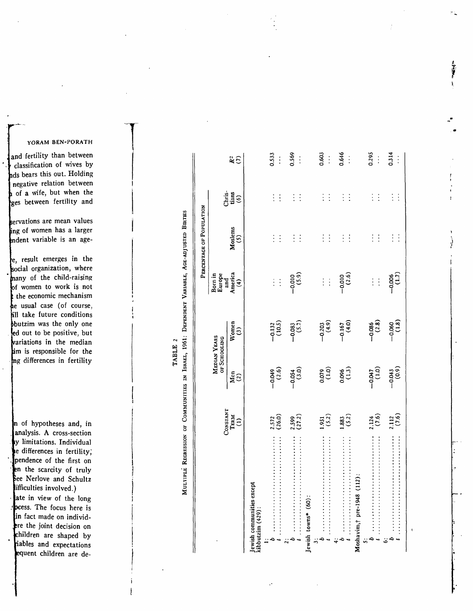|                                                                                                                                                                            |                               |                       | MEDIAN YEARS<br>OF SCHOOLING | Born in<br>Europe               | PERCENTAGE OF POPULATION  |                             |                        |
|----------------------------------------------------------------------------------------------------------------------------------------------------------------------------|-------------------------------|-----------------------|------------------------------|---------------------------------|---------------------------|-----------------------------|------------------------|
|                                                                                                                                                                            | CONSTANT<br>Текм<br>$\hat{c}$ | Men<br>$\overline{c}$ | Women<br>$\widehat{c}$       | America<br>and<br>$\hat{E}$     | Moslems<br>$\overline{S}$ | $\frac{Chris}{tan s}$       | $\mathbb{R}^2$         |
| Jewish communities except<br>kibbutzim (429):                                                                                                                              |                               |                       |                              |                                 |                           |                             |                        |
| .<br>م<br>∾<br>$\ddot{ }$                                                                                                                                                  | 2.572<br>(26.0)               | (2.6)<br>$-0.049$     | $-0.132$<br>(10.5)           | $\ddot{\cdot}$<br>$\frac{1}{2}$ | ÷,<br>÷                   | $\mathcal{L}^{\mathcal{L}}$ | 0.533<br>$\vdots$      |
| Jewish towns* (60):<br>¢<br>∾<br>$\ddot{\sim}$                                                                                                                             | $2.599$<br>(27.2)             | $-0.054$<br>(3.0)     | $-0.083$<br>(5.7)            | $-0.010$<br>(5.9)               | Î.<br>$\frac{1}{2}$       | Ì.<br>$\vdots$              | 0.569<br>$\vdots$      |
| $\vdots$<br>$\vdots$<br>$\vdots$<br>$\frac{1}{2}$<br>$\ddot{\phantom{a}}$<br>$\frac{1}{2}$<br>۰<br>$\ddot{ }$<br>∾                                                         | (5.2)<br>1.951                | (1.0)<br>0.079        | (4.9)<br>$-0.203$            | $\frac{1}{2}$<br>$\vdots$       | ÷<br>$\vdots$             | $\vdots$<br>Ì.              | 0.603<br>$\vdots$      |
| $\frac{1}{2}$<br><br>Moshavim,† pre-1948 (112):<br>$\ddot{•}$<br>٠                                                                                                         | $1.883$<br>(5.2)              | $0.096$<br>(1.3)      | (4.0)<br>$-0.167$            | $-0.010$<br>(2.6)               | $\frac{1}{2}$<br>÷        | $\frac{1}{2}$<br>÷          | 0.646<br>$\vdots$      |
| $\vdots$<br>$\vdots$<br>------------------------------<br>ç,<br>                                                                                                           | (7.6)<br>2.124                | (1.0)<br>$-0.047$     | (2.8)<br>$-0.086$            | $\frac{1}{2}$<br>$\frac{1}{2}$  | ÷.<br>÷                   | ÷,<br>$\frac{1}{2}$         | 0.295<br>$\vdots$      |
| $\vdots$<br>$\frac{1}{2}$<br>.<br>$\frac{1}{2}$<br>$\ddot{\cdot}$<br>$\ddot{\cdot}$<br>$\vdots$<br>$\vdots$<br>$\vdots$<br>$\frac{1}{2}$<br>۰<br>ö<br>$\ddot{\phantom{0}}$ | $^{2.112}_{(7.6)}$            | $-0.043$<br>$(0.9)$   | $-0.060$<br>(1.8)            | $-0.006$<br>(1.7)               | $\frac{1}{2}$ .           | $\mathcal{L}_{\mathcal{A}}$ | 0.314<br>$\frac{1}{2}$ |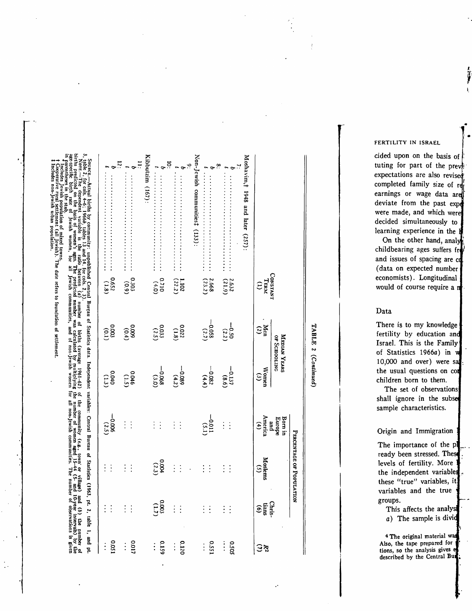| ÷  |  |
|----|--|
| è. |  |
| w  |  |
|    |  |
|    |  |

H

 $\ddot{\cdot}$ 

|                                                                                                                                                                                                                                   |                                                                                      |                                               |                               |                                                          | PERCENTAGE OF POPULATION    |                                                                                             |                            |
|-----------------------------------------------------------------------------------------------------------------------------------------------------------------------------------------------------------------------------------|--------------------------------------------------------------------------------------|-----------------------------------------------|-------------------------------|----------------------------------------------------------|-----------------------------|---------------------------------------------------------------------------------------------|----------------------------|
|                                                                                                                                                                                                                                   |                                                                                      | MEDIAN YEARS<br>OF SCHOOLING                  |                               | Born in<br>Europe                                        |                             |                                                                                             |                            |
|                                                                                                                                                                                                                                   | $\begin{array}{c}\n\text{Consariant} \\ \text{Trexat} \\ \text{Trexat}\n\end{array}$ | $\frac{\text{MeV}}{2}$                        | <b>Women</b><br>$\widehat{c}$ | America<br>$\begin{pmatrix} 4 \\ 4 \end{pmatrix}$<br>and | <b>Moslems</b><br>$\hat{c}$ | $\text{Chris}\atop{\text{data}}$                                                            | ξ                          |
| Moshavim, † 1948 and later (257):                                                                                                                                                                                                 |                                                                                      |                                               |                               |                                                          |                             |                                                                                             |                            |
|                                                                                                                                                                                                                                   |                                                                                      |                                               |                               | $\vdots$                                                 | $\vdots$                    | $\begin{aligned} \mathbb{E}[\mathbb{E}[\mathbb{E}^{\mathbb{E}}_{\mathbb{E}}] \end{aligned}$ |                            |
| $\ddot{\cdot}$                                                                                                                                                                                                                    | $2.632$<br>(21.9)                                                                    | $-0.50$<br>(2.2)                              | $-0.137$<br>(8.6)             | $\vdots$                                                 | $\vdots$                    |                                                                                             | $rac{5}{3}$                |
|                                                                                                                                                                                                                                   | $2.668$<br>(23.2)                                                                    | $-0.058$<br>(2.7)                             | $-0.082$<br>$(4.4)$           | $-0.011$<br>(5.1)                                        | $\vdots$<br>$\vdots$        | $\vdots$                                                                                    | 0.551                      |
| Non-Jewish communities‡ (133):<br>$\ddot{\circ}$                                                                                                                                                                                  |                                                                                      |                                               |                               |                                                          |                             |                                                                                             |                            |
|                                                                                                                                                                                                                                   | $\frac{1.102}{(22.2)}$                                                               | $\begin{array}{c} 0.022 \\ (1.8) \end{array}$ | $-0.089$<br>$(4.2)$           | $\vdots$<br>$\ddot{\cdot}$                               | $\vdots$<br>$\vdots$        |                                                                                             |                            |
| ē                                                                                                                                                                                                                                 | $0.710$<br>(4.0)                                                                     | $\begin{array}{c} 0.033 \\ (2.5) \end{array}$ | $-0.068$<br>$(3.0)$           | $\vdots$<br>$\vdots$                                     | $0.004$<br>(2.3)            | $\begin{pmatrix} 1 & 1 \\ 0 & 0 & 0 \\ 0 & 0 & 0 \\ 0 & 0 & 0 \end{pmatrix}$                | $0.120$<br><br>$0.159$<br> |
| Kibbutzim (167):                                                                                                                                                                                                                  |                                                                                      |                                               |                               |                                                          |                             |                                                                                             |                            |
| Ξ<br>$\frac{1}{2}$ , $\frac{1}{2}$ , $\frac{1}{2}$ , $\frac{1}{2}$ , $\frac{1}{2}$ , $\frac{1}{2}$ , $\frac{1}{2}$                                                                                                                |                                                                                      |                                               |                               | $\vdots$                                                 | $\vdots$                    |                                                                                             |                            |
| $\overline{12}$ :                                                                                                                                                                                                                 | $0.303$<br>$(0.9)$                                                                   | 0.009                                         | $0.046$<br>(1.5)              | $\vdots$                                                 | $\vdots$                    | $\frac{1}{2}$ .                                                                             | $\frac{1}{2}$ :            |
|                                                                                                                                                                                                                                   | 0.652                                                                                | 0.003                                         | $0.040$<br>(1.3)              | $-0.006$<br>(2.5)                                        | $\vdots$                    |                                                                                             | $\frac{1}{2}$              |
|                                                                                                                                                                                                                                   | (1.8)                                                                                | (1.0)                                         |                               |                                                          | $\vdots$                    |                                                                                             |                            |
| Sovece.—Actual births by community: unpublished Central Bureau of Statistics data. Independent variables: Central Bureau of Statistics (1963, pt. 2, table 1, and pt.<br>3 value 7 for cole a-6: 1966k abilish and formal of stat |                                                                                      |                                               |                               |                                                          |                             |                                                                                             |                            |

0 <u>ه</u> 8 4) <sup>0</sup>EU 0) <u>≒°</u>

4) E io foundation of '4 C0 .4)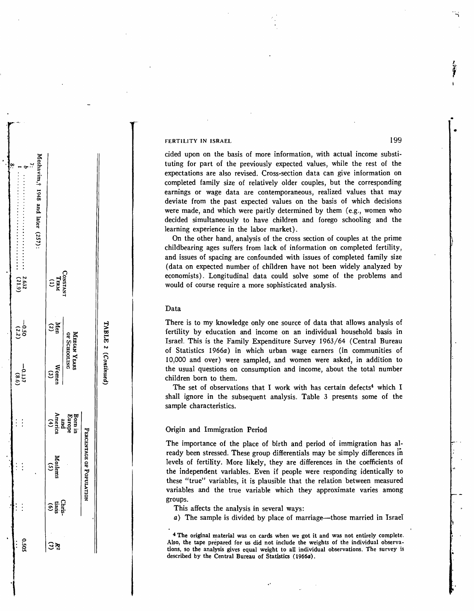cided upon on the basis of more information, with actual income substituting for part of the previously expected values, while the rest of the expectations are also revised. Cross-section data can give information on completed family size of relatively older couples, but the corresponding earnings or wage data are contemporaneous, realized values that may deviate from the past expected values on the basis of which decisions were made, and which were partly determined by them (e.g., women who decided simultaneously to have children and forego schooling and the learning experience in the labor market).

On the other hand, analysis of the cross section of couples at the prime childbearing ages suffers from lack of information on completed fertility, and issues of spacing are confounded with issues of completed family size (data on expected number of children have not been widely analyzed by economists). Longitudinal data could solve some of the problems and would of course require a more sophisticated analysis.

## Data

There is to my knowledge only one source of data that allows analysis of fertility by education and income on an individual household basis in Israel. This is the Family Expenditure Survey 1963/64 (Central Bureau of Statistics 1966a) in which urban wage earners (in communities of 10,000 and over) were sampled, and women were asked, in addition to the usual questions on consumption and income, about the total number children born to them.

The set of observations that I work with has certain defects<sup>4</sup> which I shall ignore in the subsequent analysis. Table 3 presents some of the sample characteristics.

#### Origin and Immigration Period

The importance of the place of birth and period of immigration has already been stressed. These group differentials may be simply differences in levels of fertility. More likely, they are differences in the coefficients of the independent variables. Even if people were responding identically to these "true" variables, it is plausible that the relation between measured variables and the true variable which they approximate varies among groups.

This affects the analysis in several ways:

a) The sample is divided by place of marriage—those married in Israel

<sup>&</sup>lt;sup>4</sup> The original material was on cards when we got it and was not entirely complete. Also, the tape prepared for us did not include the weights of the individual observations, so the analysis gives equal weight to all individual observations. The survey is described by the Central Bureau of Statistics (1966a).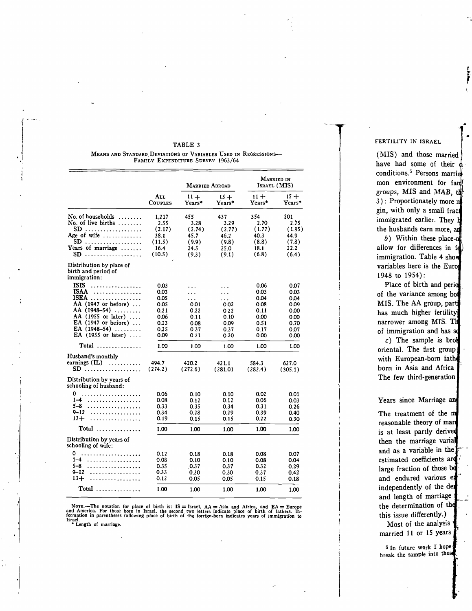## TABLE 3

 $\ddot{\phantom{0}}$ 

| MEANS AND STANDARD DEVIATIONS OF VARIABLES USED IN REGRESSIONS-                                                                                                                   |                                                                      | TABLE 3<br>FAMILY EXPENDITURE SURVEY 1963/64                         |                                                           |                                                                      |                                                                      |
|-----------------------------------------------------------------------------------------------------------------------------------------------------------------------------------|----------------------------------------------------------------------|----------------------------------------------------------------------|-----------------------------------------------------------|----------------------------------------------------------------------|----------------------------------------------------------------------|
|                                                                                                                                                                                   |                                                                      | <b>MARRIED ABROAD</b>                                                |                                                           |                                                                      | Married in<br>ISRAEL (MIS)                                           |
|                                                                                                                                                                                   | ALL<br>COUPLES                                                       | $11 +$<br>Years*                                                     | $15 +$<br>Years*                                          | $11 +$<br>Years*                                                     | $15 +$<br>Years*                                                     |
| No. of live births $\ldots$<br>$SD$<br>Age of wife $\dots\dots\dots\dots$<br>$SD$<br>Years of marriage<br>$SD$                                                                    | 1,217<br>2.55<br>(2.17)<br>38.1<br>(11.5)<br>16,4<br>(10.5)          | 455<br>3.28<br>(2.74)<br>45.7<br>(9.9)<br>24.5<br>(9.3)              | 437<br>3.29<br>(2.77)<br>46.2<br>(9.8)<br>25.0<br>(9.1)   | 354<br>2.70<br>(1.77)<br>40.3<br>(8.8)<br>18.1<br>(6.8)              | 201<br>2.75<br>(1.95)<br>44.9<br>(7.8)<br>22.2<br>(6.4)              |
| Distribution by place of<br>birth and period of<br>immigration:                                                                                                                   |                                                                      |                                                                      |                                                           |                                                                      |                                                                      |
| ISIS<br>.<br>ISAA<br>.<br>$ISEA$<br>AA (1947 or before)<br>$AA(1948-54) \ldots$<br>AA (1955 or later)<br>$EA$ (1947 or before) $\ldots$<br>$EA$ (1948–54)<br>EA $(1955$ or later) | 0.03<br>0.03<br>0.05<br>0.05<br>0.21<br>0.06<br>0.23<br>0.25<br>0.09 | $\cdots$<br>$\cdots$<br>0.01<br>0.22<br>0.11<br>0.08<br>0.37<br>0.21 | $\ddotsc$<br>0.02<br>0.22<br>0.10<br>0.09<br>0.37<br>0.20 | 0.06<br>0.03<br>0.04<br>0.08<br>0.11<br>0.00<br>0.51<br>0.17<br>0.00 | 0.07<br>0.03<br>0.04<br>0.09<br>0.00<br>0.00<br>0.70<br>0.07<br>0.00 |
| $Total$                                                                                                                                                                           | 1.00                                                                 | 1.00                                                                 | 1.00                                                      | 1.00                                                                 | 1.00                                                                 |
| Husband's monthly<br>earnings $(IL)$<br>$SD$                                                                                                                                      | 494.7<br>(274.2)                                                     | 420.2<br>(272.6)                                                     | 421.1<br>(281.0)                                          | 584.3<br>(282.4)                                                     | 627.0<br>(305.1)                                                     |
| Distribution by years of<br>schooling of husband:                                                                                                                                 |                                                                      |                                                                      |                                                           |                                                                      |                                                                      |
| 0<br>$1 - 4$<br>5–8.<br>$9 - 12$<br>.<br>$13+$<br>.                                                                                                                               | 0.06<br>0.08<br>0.33<br>0.34<br>0.19                                 | 0.10<br>0.12<br>0.35<br>0.28<br>0.15                                 | 0.10<br>0.12<br>0.34<br>0.29<br>0.15                      | 0.02<br>0.06<br>0.31<br>0.39<br>0.22                                 | 0.01<br>0.03<br>0.26<br>0.40<br>0.30                                 |
| $Total$                                                                                                                                                                           | 1.00                                                                 | 1.00                                                                 | 1.00                                                      | 1.00                                                                 | 1.00                                                                 |
| Distribution by years of<br>schooling of wife:                                                                                                                                    |                                                                      |                                                                      |                                                           |                                                                      |                                                                      |
| 0<br>$1 - 4$<br>5-8<br>$9 - 12$<br>.<br>$13+$<br>. <u>.</u> .                                                                                                                     | 0.12<br>0.08<br>0.35<br>0.33<br>0.12                                 | 0.18<br>0.10<br>0.37<br>0.30<br>0.05                                 | 0.18<br>0.10<br>0.37<br>0.30<br>0.05                      | 0.08<br>0.08<br>0.32<br>0.37<br>0.15                                 | 0.07<br>0.04<br>0.29<br>0.42<br>0.18                                 |
| $Total$                                                                                                                                                                           | 1.00                                                                 | 1.00                                                                 | 1.00                                                      | 1.00                                                                 | 1.00                                                                 |
|                                                                                                                                                                                   |                                                                      |                                                                      |                                                           |                                                                      |                                                                      |

# MEANS AND STANDARD• DEVIATIONS OF VARIABLES USED IN REGREssIoNs— FAMILY EXPENDITURE SURVEY 1963/64

Nors.—The notation for place of birth is: IS = Israel,  $AA = Asia$  and Africa, and  $EA = Europe$  of one in Israel, the second two letters indicate place of birth of fathers. Information in parentheses following place of birth of the f

 $\cdot$ 

 $\epsilon^{\star}$ 

÷,

والمساء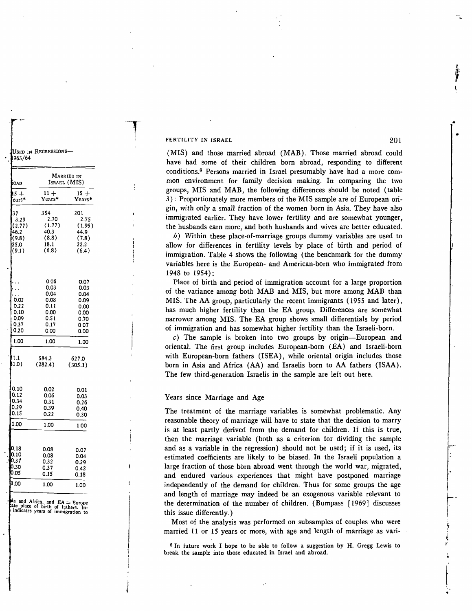(MIS) and those married abroad (MAB). Those married abroad could have had some of their children born abroad, responding to different conditions.<sup>5</sup> Persons married in Israel presumably have had a more common environment for family decision making. In comparing the two groups, MIS and MAB, the following differences should be noted (table 3): Proportionately more members of the MIS sample are of European origin, with only a small fraction of the women born in Asia. They have also immigrated earlier. They have lower fertility and are somewhat younger, the husbands earn more, and both husbands and wives are better educated.

b) Within these place-of-marriage groups dummy variables are used to allow for differences in fertility levels by place of birth and period of immigration. Table 4 shows the following (the benchmark for the dummy variables here is the European- and American-born who immigrated from 1948 to 1954):

Place of birth and period of immigration account for a large proportion of the variance among both MAB and MIS, but more among MAB than MIS. The AA group, particularly the recent immigrants (1955 and later), has much higher fertility than the EA group. Differences are somewhat narrower among MIS. The EA group shows small differentials by period of immigration and has somewhat higher fertility than the Israeli-born.

 $c$ ) The sample is broken into two groups by origin—European and oriental. The first group includes European-born (EA) and Israeli-born with European-born fathers (ISEA), while oriental origin includes those born in Asia and Africa (AA) and Israelis born to AA fathers (ISAA). The few third-generation Israelis in the sample are left out here.

#### Years since Marriage and Age

The treatment of the marriage variables is somewhat problematic. Any reasonable theory of marriage will have to state that the decision to marry is at least partly derived from the demand for children. If this is true, then the marriage variable (both as a criterion for dividing the sample and as a variable in the regression) should not be used; if it is used, its estimated coefficients are likely to be biased. In the Israeli population a large fraction of those born abroad went through the world war, migrated, and endured various experiences that might have postponed marriage independently of the demand for children. Thus for some groups the age and length of marriage may indeed be an exogenous variable relevant to the determination of the number of children. (Bumpass [1969] discusses this issue differently.)

Most of the analysis was performed on subsamples of couples who were married 11 or 15 years or more, with age and length of marriage as van-

 $5$  In future work I hope to be able to follow a suggestion by H. Gregg Lewis to break the sample into those educated in Israel and abroad.

 $\cdot$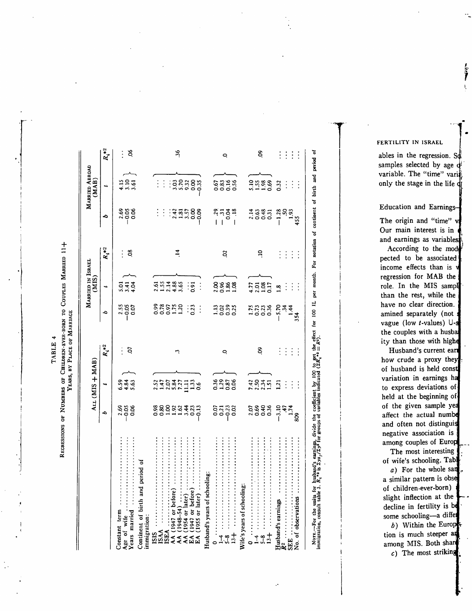TABLE 4

4-5

|                                                                                                                                                                                                                                                                                                                                                     |                                | ALL $(MIS + MAB)$    |                      |                      | MARRIED IN ISRAEL<br>(MIS)         |                            |                                                              | <b>MARRIED ABROAD</b><br>(MAB) |                      |
|-----------------------------------------------------------------------------------------------------------------------------------------------------------------------------------------------------------------------------------------------------------------------------------------------------------------------------------------------------|--------------------------------|----------------------|----------------------|----------------------|------------------------------------|----------------------------|--------------------------------------------------------------|--------------------------------|----------------------|
|                                                                                                                                                                                                                                                                                                                                                     | م                              | ∾                    | $R_i$ * <sup>2</sup> | ¢                    | ↔                                  | $R_i$ <sup>+2</sup>        | ç                                                            | د                              | $R_i^{*2}$           |
| $\ddot{\cdot}$<br>Constant term<br>Years married<br>Age of wife                                                                                                                                                                                                                                                                                     | 0.05<br>0.06<br>2.69           | 6.59<br>4.84<br>5.63 | $\vdots$<br>S        | 2.55<br>0.05         | 3.41<br>ភ្ល                        | $\vdots$<br>$\frac{8}{3}$  | ses<br>250                                                   | $13.5$<br>$3.5$                | 8Ò<br>$\vdots$       |
| Continent of birth and period of<br>immigration:                                                                                                                                                                                                                                                                                                    |                                |                      |                      |                      |                                    |                            |                                                              |                                |                      |
| <br>.<br>$\frac{1}{2}$ $\frac{1}{2}$ $\frac{1}{2}$ $\frac{1}{2}$ $\frac{1}{2}$ $\frac{1}{2}$ $\frac{1}{2}$ $\frac{1}{2}$ $\frac{1}{2}$ $\frac{1}{2}$ $\frac{1}{2}$ $\frac{1}{2}$ $\frac{1}{2}$ $\frac{1}{2}$ $\frac{1}{2}$ $\frac{1}{2}$ $\frac{1}{2}$ $\frac{1}{2}$ $\frac{1}{2}$ $\frac{1}{2}$ $\frac{1}{2}$ $\frac{1}{2}$<br><b>ISAA</b><br>ISIS | 0.98<br>0.80                   | $2.52$<br>1.47       |                      | 0.99<br>0.78         | 2.61                               |                            | I,                                                           | $\vdots$                       |                      |
| .<br><br>AA (1947 or before)<br><b>ISEA</b>                                                                                                                                                                                                                                                                                                         | 1,00<br>1.92                   | 2.07                 |                      | 0.97<br>1.75         | $\frac{153}{1480}$                 |                            | 2.42<br>ţ<br>$\vdots$                                        | 3.03<br>$\vdots$               |                      |
| <br><br>AA $(1948-54)$<br>AA $(1954 \text{ or } later)$<br>EA $(1947 \text{ or } before)$<br>EA $(1955 \text{ or } later)$                                                                                                                                                                                                                          | 1.62<br>3.44<br>0.23           | 727<br>11.11         | ن                    | 1.20<br>0.23<br>÷    | 3.65<br>$\vdots$<br>$\overline{5}$ | $\ddot{=}$                 | 8 <sub>0</sub><br>$1.81$<br>$3.57$                           | 5.70<br>0.00<br>9.32           | 36                   |
| <br>Husband's years of schooling:<br>$\vdots$                                                                                                                                                                                                                                                                                                       | $\frac{2}{13}$                 | $\frac{133}{0.6}$    |                      | $\vdots$             | $\vdots$                           |                            | es<br>0.0                                                    | 0.35                           |                      |
| $\circ$                                                                                                                                                                                                                                                                                                                                             | CO.                            | 0.36<br>1.29         |                      | $\frac{13}{2}$       |                                    |                            | $\overline{5}$<br>I                                          | 0.67                           |                      |
| -------------------<br>.<br>$\frac{1}{2}$ : $\frac{1}{2}$ : $\frac{1}{2}$ : $\frac{1}{2}$ : $\frac{1}{2}$ : $\frac{1}{2}$<br>$1 - 4$<br>.<br>$13 +$<br>უ<br>ა                                                                                                                                                                                       | $-0.23$<br>$\tilde{c}$<br>0.21 | 0.06<br>0.87         | Q                    | 0.39<br>0.02<br>0.25 | 888<br>1.08                        | $\ddot{\circ}$             | 0.04<br>$\frac{18}{16}$<br>$\ddot{ }$<br>$\overline{1}$<br>I | 0.16<br>0.56<br>0.83           | Q                    |
| ing.<br>E<br>Wife's years of schooli                                                                                                                                                                                                                                                                                                                |                                |                      |                      |                      |                                    |                            |                                                              |                                |                      |
| <br>$\frac{1}{2}$<br>$\overline{1}$<br>o                                                                                                                                                                                                                                                                                                            | 0.69<br>2.07                   |                      |                      | 1.75<br>0.73         | 4.77                               |                            | $\frac{2.14}{0.63}$                                          | <u>ក្នុងទំនិ</u>               |                      |
| <br>$13+$<br><b>S-8</b>                                                                                                                                                                                                                                                                                                                             | 0.40<br>0.36                   | $2877$<br>$2877$     | S.                   | 0.23<br>0.36         | 2.017<br>1.08                      | $\Xi$                      | 0.48<br>0.31                                                 | 0.69                           | S,                   |
|                                                                                                                                                                                                                                                                                                                                                     | $-3.10$                        | 1.21                 | Ì                    | $-5.70$              | 1.8                                | $\vdots$                   | $-1.28$                                                      | 0.32                           | $\vdots$             |
| <br><b>SEE</b>                                                                                                                                                                                                                                                                                                                                      | 1.74                           | $\vdots$             | $\vdots$             | $\ddot{3}$<br>1.44   | $\vdots$                           | $\vdots$                   | 50.193                                                       | $\vdots$                       | $\vdots$             |
| <br>.<br>No. of observations                                                                                                                                                                                                                                                                                                                        | 808                            | $\vdots$<br>ţ        | $\vdots$<br>$\vdots$ | 354                  | $\vdots$<br>$\vdots$               | $\ddot{\cdot}$<br>$\vdots$ | 455                                                          | $\vdots$<br>Ì                  | $\vdots$<br>$\vdots$ |

 $\ddot{\phantom{0}}$ 

 $\ddot{\cdot}$ 

ŀ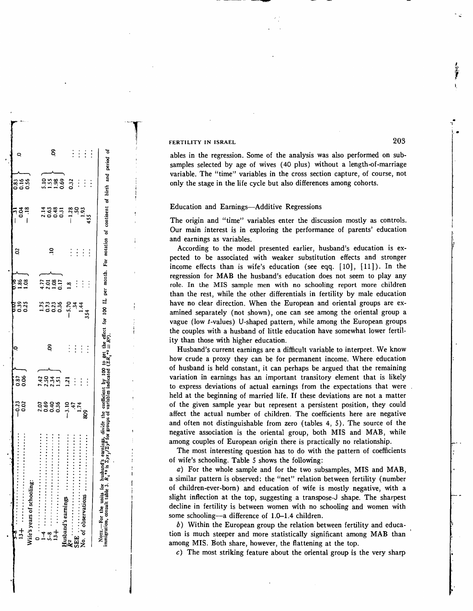ables in the regression. Some of the analysis was also performed on subsamples selected by age of wives (40 plus) without a length-of-marriage variable. The "time" variables in the cross section capture, of course, not only the stage in the life cycle but also differences among cohorts.

#### Education and Earnings—Additive Regressions

The origin and "time" variables enter the discussion mostly as controls. Our main interest is in exploring the performance of parents' education and earnings as variables.

According to the model presented earlier, husband's education is expected to be associated with weaker substitution effects and stronger income effects than is wife's education (see eqq. [10], [11]). In the regression for MAB the husband's education does not seem to play any role. In the MIS sample men with no schooling report more children than the rest, while the other differentials in fertility by male education have no clear direction. When the European and oriental groups are examined separately (not shown), one can see among the oriental group a vague (low  $t$ -values) U-shaped pattern, while among the European groups the couples with a husband of little education have somewhat lower fertility than those with higher education.

Husband's current earnings are a difficult variable to interpret. We know how crude a proxy they can be for permanent income. Where education of husband is held constant, it can perhaps be argued that the remaining variation in earnings has an important transitory element that is likely to express deviations of actual earnings from the expectations that were held at the beginning of married life. If these deviations are not a matter of the given sample year but represent a persistent position, they could affect the actual number of children. The coefficients here are negative and often not distinguishable from zero (tables 4, 5). The source of the negative association is the oriental group, both MIS and MAB, while among couples of European origin there is practically no relationship.

The most interesting question has to do with the pattern of coefficients of wife's schooling. Table 5 shows the following:

a) For the whole sample and for the two subsamples, MIS and MAB, a similar pattern is observed: the "net" relation between fertility (number of children-ever-born) and education of wife is mostly negative, with a slight inflection at the top, suggesting a transpose-J shape. The sharpest decline in fertility is between women with no schooling and women with some schooling—a difference of 1.0—1.4 children. of children-ever-born) and education of wife is mostly negative, with a<br>slight inflection at the top, suggesting a transpose-J shape. The sharpest<br>decline in fertility is between women with no schooling and women with<br>som

 $b)$  Within the European group the relation between fertility and education is much steeper and more statistically significant among MAB than among MIS. Both share, however, the flattening at the top.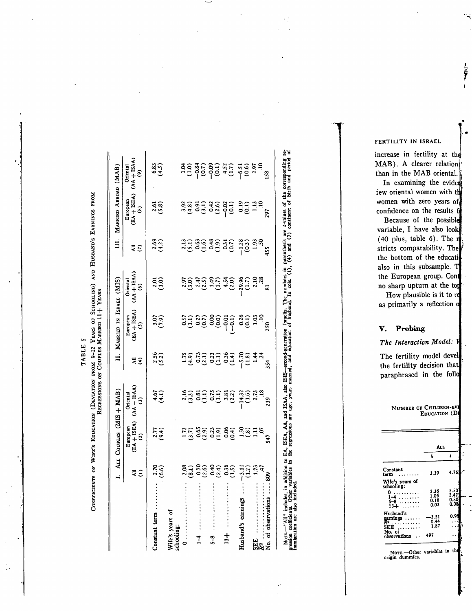| v   |  |
|-----|--|
| BLE |  |
|     |  |

 $\ddot{\cdot}$ l,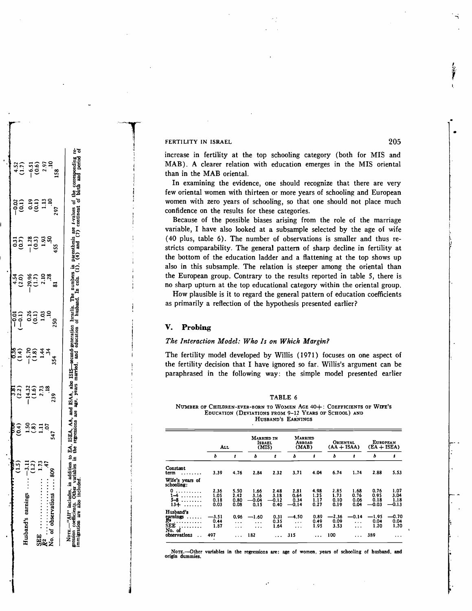increase in fertility at the top schooling category (both for MIS and MAB). A clearer relation with education emerges in the MIS oriental than in the MAB oriental.

In examining the evidence, one should recognize that there are very few oriental women with thirteen or more years of schooling and European women with zero years of schooling, so that one should not place much confidence on the results for these categories.

Because of the possible biases arising from the role of the marriage variable, I have also looked at a subsample selected by the age of wife (40 plus, table 6). The number of observations is smaller and thus restricts comparability. The general pattern of sharp decline in fertility at the bottom of the education ladder and a flattening at the top shows up also in this subsample. The relation is steeper among the oriental than the European group. Contrary to the results reported in table 5, there is no sharp upturn at the top educational category within the oriental group.

How plausible is it to regard the general pattern of education coefficients as primarily a reflection of the hypothesis presented earlier?

# V. Probing

#### The Interaction Model: Who Is on Which Margin?

The fertility model developed by Willis (1971) focuses on one aspect of the fertility decision that I have ignored so far. Willis's argument can be paraphrased in the following way: the simple model presented earlier

|                                                                         | ALL                          |                              |                                 | <b>MARRIED IN</b><br><b>ISRAEL</b><br>(MIS) | <b>MARRIED</b><br><b>ABROAD</b><br>(MAB) |                              | ORIENTAL<br>$(AA + ISAA)$    |                                 | $(EA + ISEA)$                 | <b>EUROPEAN</b>               |
|-------------------------------------------------------------------------|------------------------------|------------------------------|---------------------------------|---------------------------------------------|------------------------------------------|------------------------------|------------------------------|---------------------------------|-------------------------------|-------------------------------|
|                                                                         | Ь                            | t                            | b                               | £                                           | b                                        | t                            | ò                            | t                               | ь                             |                               |
| Constant<br>term<br>.                                                   | 3.39                         | 4.76                         | 2.84                            | 2.32                                        | 3.71                                     | 4.04                         | 6.74                         | 1.74                            | 2.88                          | 5.53                          |
| Wife's years of<br>schooling:                                           |                              |                              |                                 |                                             |                                          |                              |                              |                                 |                               |                               |
| 0<br>1–4<br>.<br>$5 - 8$<br>$\cdots\cdots\cdots\cdots$<br>$13 + \ldots$ | 2.36<br>1.05<br>0.18<br>0.03 | 5.50<br>2.42<br>0.80<br>0.08 | 1.66<br>3.16<br>$-0.04$<br>0.15 | 2.48<br>3.18<br>-0.12<br>0.40               | 2.81<br>0.64<br>0.34<br>--0.14           | 4.98<br>1.25<br>1.17<br>0.27 | 2.85<br>1.73<br>0.10<br>0.19 | 1.68<br>0.76<br>0.06<br>0.04    | 0.76<br>0.95<br>0.18<br>-0.03 | 1.07<br>3.04<br>1.18<br>-0.13 |
| Husband's<br>$\overline{\mathcal{R}}^{\mathbf{a}}$<br>SEE               | $-3.51$<br>0.44<br>1.87      | 0.96<br>$\cdots$<br>$\cdots$ | $-1.60$<br>$\cdots$<br>$\cdots$ | 0.31<br>0.35<br>1.64                        | $-4.50$<br>$\cdots$<br>$\cdots$          | 0.89<br>0.49<br>1.95         | $-2.36$<br>0.09<br>3.53      | $-0.14$<br>$\cdots$<br>$\cdots$ | $-1.95$<br>0.04<br>1.20       | $-0.70$<br>0.04<br>1.20       |
| No. of<br>observations<br>$\ddot{\phantom{a}}$                          | 497                          | $\cdots$                     | 182                             | $\cdots$                                    | 315                                      | $\ddotsc$                    | 100                          | $\cdots$                        | 389                           | $\cdots$                      |

TABLE 6

NUMBER OF CHILDREN-EVER-BORN TO WOMEN AGE 40+: COEFFICIENTS OF WIFE'S EDUCATION (DEVIATIONS FROM 9—12 YEARS OF SCHOOL) AND HUSBAND'S EARNINGS

N0TE.—Other variables in the regressions are: age of women, years of schooling of husband, andorigin dummies.

 $\cdot$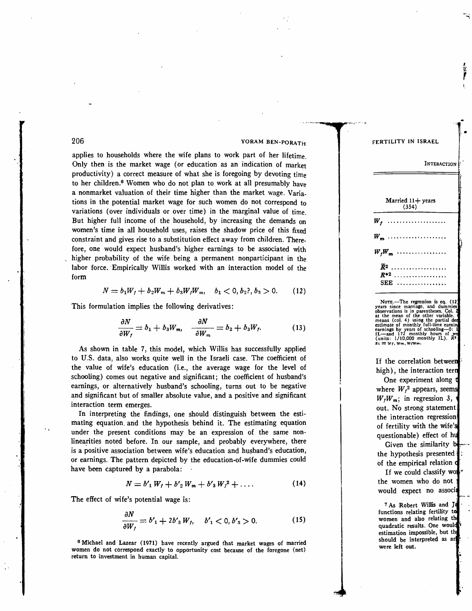# 206 YORAM BEN-PORATH

applies to households where the wife plans to work part of her lifetime Only then is the market wage (or education as an indication of market productivity) a correct measure of what she is foregoing by devoting time to her children.<sup>6</sup> Women who do not plan to work at all presumably have a nonmarket valuation of their time higher than the market wage. Variations in the potential market wage for such women do not correspond to variations (over individuals or over time) in the marginal value of time. But higher full income of the household, by increasing the demands on women's time in all household uses, raises the shadow price of this fixed constraint and gives rise to a substitution effect away from children. Therefore, one would expect husband's higher earnings to be associated with higher probability of the wife being a permanent nonparticipant in the labor force. Empirically Willis worked with an interaction model of the form

$$
N = b_1 W_f + b_2 W_m + b_3 W_f W_m, \quad b_1 < 0, b_2?
$$
\n(12)

This formulation implies the following derivatives:

$$
\frac{\partial N}{\partial W_f} = b_1 + b_3 W_m, \quad \frac{\partial N}{\partial W_m} = b_2 + b_3 W_f. \tag{13}
$$

As shown in table 7, this model, which Willis has successfully applied to U.S. data, also works quite well in the Israeli case. The coefficient of the value of wife's education (i.e., the average wage for the level of schooling) comes out negative and significant; the coefficient of husband's earnings, or alternatively husband's schooling, turns out to be negative and significant but of smaller absolute value, and a positive and significant interaction term emerges.

In interpreting the findings, one should distinguish between the estimating equation, and the hypothesis behind it. The estimating equation under the present conditions may be an expression of the same nonlinearities noted before. In our sample, and probably everywhere, there is a positive association between wife's education and husband's education, or earnings. The pattern depicted by the education-of-wife dummies could have been captured by a parabola:

$$
N = b'_1 W_f + b'_2 W_m + b'_3 W_f^2 + \dots \qquad (14)
$$

The effect of wife's potential wage is:

$$
\frac{\partial N}{\partial W_I} = b'_1 + 2b'_3 W_I, \quad b'_1 < 0, b'_3 > 0. \tag{15}
$$

<sup>6</sup> Michael and Lazear (1971) have recently argued that market wages of married women do not correspond exactly to opportunity cost because of the foregone (net) return to investment in human capital.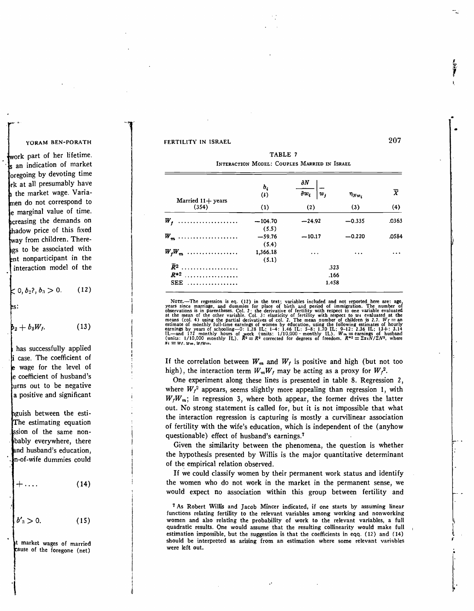|                                | $b_i$<br>(t)       | дN<br>$\partial w_i$<br>$\boldsymbol{w_{j}}$ | $\eta_{N w_i}$ | $\overline{x}$ |
|--------------------------------|--------------------|----------------------------------------------|----------------|----------------|
| Married 11+ years<br>(354)     | (1)                | (2)                                          | (3)            | (4)            |
| $W_1$                          | $-104.70$<br>(5.5) | $-24.92$                                     | $-0.335$       | .0363          |
| $W_m$                          | $-59.76$<br>(5.4)  | $-10.17$                                     | $-0.220$       | .0584          |
| $W_{\mathbf{I}}W_{\mathbf{m}}$ | 1,366.18<br>(5.1)  | $\ddotsc$                                    | $\ddotsc$      | $\cdots$       |
| $\overline{R}^2$               |                    | .323                                         |                |                |
| $R^{*2}$                       |                    | .166                                         |                |                |
| .<br><b>SEE</b>                |                    | 1.458                                        |                |                |

TABLE 7 INTERACTION MODEL: COUPLES MARRIED IN ISRAEL

Nore.—The regression is eq. (12) in the text; variables included and not reported here are: age,<br>years since marriage, and dummies for place of birth and period of immigration. The number of<br>observations is in parentheses. at the mean of the other variable. Col. 3: elasticity of fertility with respect to we evaluated at the means (col. 4) using the partial derivatives of col. 2. The mean number of children is 2.7.  $W_f =$  an estimate of month

If the correlation between  $W_m$  and  $W_t$  is positive and high (but not too high), the interaction term  $W_mW_f$  may be acting as a proxy for  $W_f^2$ .

One experiment along these lines is presented in table 8. Regression 2, where  $W_f^2$  appears, seems slightly more appealing than regression 1, with  $W_t W_m$ ; in regression 3, where both appear, the former drives the latter out. No strong statement is called for, but it is not impossible that what the interaction regression is capturing is mostly a curvilinear association of fertility with the wife's education, which is independent of the (anyhow questionable) effect of husband's earnings.7

Given the similarity between the phenomena, the question is whether the hypothesis presented by Willis is the major quantitative determinant of the empirical relation observed.

If we could classify women by their permanent work status and identify the women who do not work in the market in the permanent sense, we would expect no association within this group between fertility and

7 As Robert Willis and Jacob Mincer indicated, if one starts by assuming linear functions relating fertility to the relevant variables among working and nonworking women and also relating the probability of work to the relevant variables, a full quadratic results. One would assume that the resulting collinearity would make full estimation impossible, but the suggestion is that the coefficients in eqq. (12) and (14) should be interpreted as arising from an estimation where some relevant variables were left out.

 $\mathcal{L}^{\bullet}$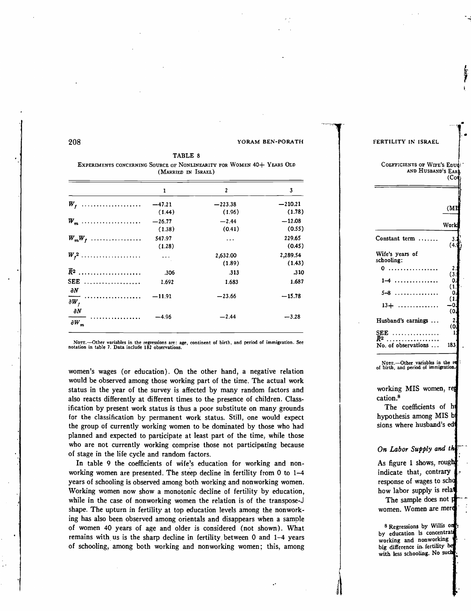$\cdot$ 

|                             | $\mathbf{1}$ | 2                    | 3         |
|-----------------------------|--------------|----------------------|-----------|
| $Wf$                        | $-47.21$     | $-223.38$            | $-210.21$ |
|                             | (1.44)       | (1.96)               | (1.78)    |
| $W_m$                       | $-26.77$     | $-2.44$              | $-12.08$  |
|                             | (1.38)       | (0.41)               | (0.55)    |
| $W_m W_f$                   | 547.97       | $\sim$ $\sim$ $\sim$ | 229.65    |
|                             | (1.28)       |                      | (0.45)    |
|                             |              | 2,632.00             | 2,289.54  |
|                             |              | (1.89)               | (1.43)    |
| $\overline{R}$ <sup>2</sup> | .306         | .313                 | .310      |
| $SEE$                       | 1.692        | 1.683                | 1.687     |
| $\partial N$                |              |                      |           |
| $\partial W_f$              | $-11.91$     | $-23.66$             | $-15.78$  |
| $\partial N$                |              |                      |           |
| .<br>$\partial W_m$         | $-4.96$      | $-2.44$              | $-3.28$   |

TABLE 8 EXPERIMENTS CONCERNING SOURCE OF NONLINEARITY FOR WOMEN 40+ YEARS OLD (MARRIED IN ISRAEL)

variables in the regressions are: age, continent of birth, and period of immigration. See notation in table 7. Data include 182 observations.

women's wages (or education). On the other hand, a negative relation would be observed among those working part of the time. The actual work status in the year of the survey is affected by many random factors and also reacts differently at different times to the presence of children. Classification by present work status is thus a poor substitute on many grounds for the classification by permanent work status. Still, one would expect the group of currently working women to be dominated by those who had planned and expected to participate at least part of the time, while those who are not currently working comprise those not participating because of stage in the life cycle and random factors.

In table 9 the coefficients of wife's education for working and nonworking women are presented. The steep decline in fertility from 0 to 1—4 years of schooling is observed among both working and nonworking women. Working women now show a monotonic decline of fertility by education, while in the case of nonworking women the relation is of the transpose-J shape. The upturn in fertility at top education levels among the nonworking has also been observed among orientals and disappears when a sample of women 40 years of age and older is considered (not shown). What remains with us is the sharp decline in fertility, between 0 and 1—4 years of schooling, among both working and nonworking women; this, among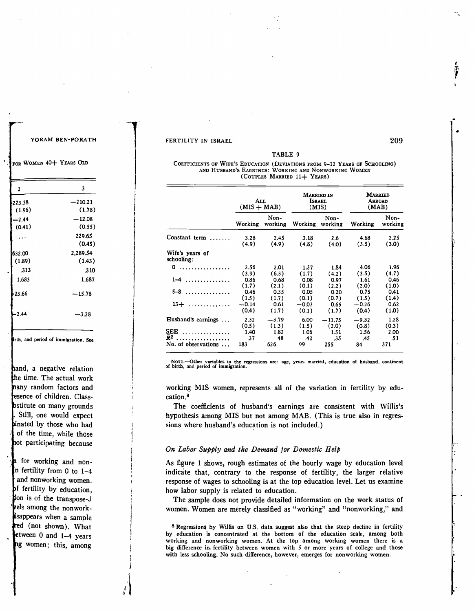|                                    | ALL<br>$(MIS + MAB)$ |                 | <b>MARRIED IN</b> | <b>ISRAEL</b><br>(MIS) |             | MARRIED<br><b>ABROAD</b><br>(MAB) |
|------------------------------------|----------------------|-----------------|-------------------|------------------------|-------------|-----------------------------------|
|                                    | Working              | Non-<br>working | Working working   | Non-                   | Working     | Non-<br>working                   |
| Constant term                      | 3.28                 | 2.45            | 3.18              | 2.6                    | 4.68        | 2.25                              |
|                                    | (4.9)                | (4.9)           | (4.8)             | (4.0)                  | (3.5)       | (3.0)                             |
| Wife's years of<br>schooling:      |                      |                 |                   |                        |             |                                   |
| 0                                  | 2.56                 | 2.01            | 1.37              | 1.84                   | 4.06        | 1.96                              |
|                                    | (3.9)                | (6.3)           | (1.7)             | (4.2)                  | (3.5)       | (4.7)                             |
| $1-4$                              | 0.86                 | 0.68            | 0.08              | 0.97                   | 1.61        | 0.46                              |
|                                    | (1.7)                | (2.1)           | (0.1)             | (2.2)                  | (2.0)       | (1.0)                             |
| $5 - 8$                            | 0.46                 | 0.35            | 0.05              | 0.20                   | 0.75        | 0.41                              |
|                                    | (1.5)                | (1.7)           | (0.1)             | (0.7)                  | (1.5)       | (1.4)                             |
| $13 + \ldots + \ldots$             | $-0.14$              | 0.61            | $-0.03$           | 0.65                   | $-0.26$     | 0.62                              |
|                                    | (0.4)                | (1.7)           | (0.1)             | (1.7)                  | (0.4)       | (1.0)                             |
| Husband's earnings                 | 2.32                 | $-3.79$         | 6.00              | $-11.75$               | $-9.32$     | 1.28                              |
|                                    | (0.5)                | (1.3)           | (1.5)             | (2.0)                  | (0.8)       | (0.3)                             |
| SEE<br>. <b>.</b> .<br>$\bar{R}^2$ | 1.40<br>.37          | 1.82<br>.48     | 1.06<br>.42       | 1.51<br>- 35           | 1.56<br>.45 | 2.00<br>.51                       |
| No. of observations                | 183                  | 626             | 99                | 255                    | 84          | 371                               |

#### COEFFICIENTS OF WIFE'S EDUCATION (DEVIATIONS FROM 9-12 YEARS OF SCHOOLING) AND HUSBAND'S EARNINGS: WORKING AND NONWORKING WOMEN (COUPLES MARRIED 11+ YEARS)

TABLE 9

NOTE.—Other variables in the regressions are: age, years married, education of husband, continent of birth, and period of immigration.

working MIS women, represents all of the variation in fertility by education.8

The coefficients of husband's earnings are consistent with Willis's hypothesis among MIS but not among MAB. (This is true also in regressions where husband's education is not included.)

#### On Labor Supply and the Demand for Domestic Help

As figure 1 shows, rough estimates of the hourly wage by education level indicate that, contrary to the response of fertility, the larger relative response of wages to schooling is at the top education level. Let us examine how labor supply is related to education.

The sample does not provide detailed information on the work status of women. Women are merely classified as "working" and "nonworking," and

<sup>8</sup> Regressions by Willis on U.S. data suggest also that the steep decline in fertility by education is concentrated at the bottom of the education scale, among both working and nonworking women. At the top among working women there is a big difference in fertility between women with 5 or more years of college and those with less schooling. No such difference, however, emerges for nonworking women.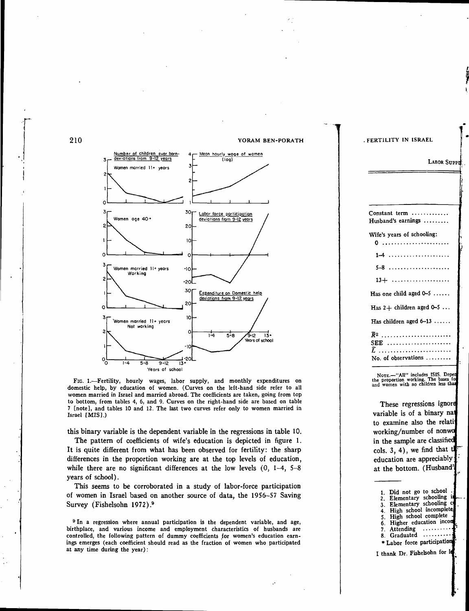V,



FIG. 1.—Fertility, hourly wages, labor supply, and monthly expenditures on domestic help, by education of women. (Curves on the left-hand side refer to all women married in Israel and married abroad. The coefficients are taken, going from top to bottom, from tables 4, 6, and 9. Curves on the right-hand side are based on table 7 [note], and tables 10 and 12. The last two curves refer only to women married in Israel [MIS].)

this binary variable is the dependent variable in the regressions in table 10.

The pattern of coefficients of wife's education is depicted in figure 1. It is quite different from what has been observed for fertility: the sharp differences in the proportion working are at the top levels of education, while there are no significant differences at the low levels (0, 1—4, 5—8 years of school).

This seems to be corroborated in a study of labor-force participation of women in Israel based on another source of data, the 1956—57 Saving Survey (Fishelsohn 1972).<sup>9</sup>

<sup>9</sup> In a regression where annual participation is the dependent variable, and age, birthplace, and various income and employment characteristics of husbands are controlled, the following pattern of dummy coefficients for women's education earnings emerges (each coefficient should read as the fraction of women who participated at any time during the year):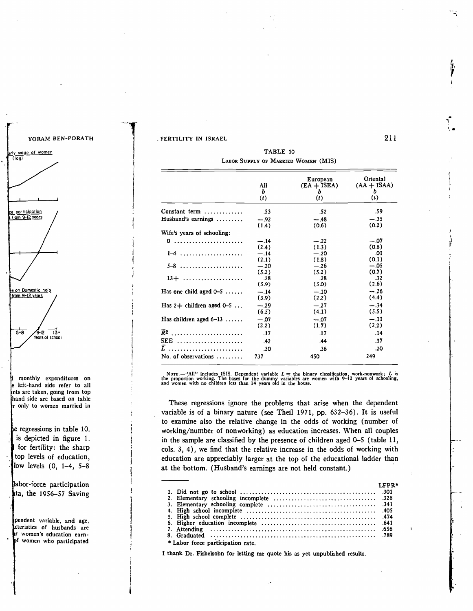|                                                  | All<br>b<br>(t) | European<br>$(EA + ISEA)$<br>ь<br>(t) | Oriental<br>$(AA + ISAA)$<br>ь<br>(t) |
|--------------------------------------------------|-----------------|---------------------------------------|---------------------------------------|
| Constant term $\dots\dots\dots\dots$             | .53             | .52                                   | .59                                   |
| Husband's earnings $\dots\dots$                  | $-.92$          | $-.48$                                | $-.35$                                |
|                                                  | (1.4)           | (0.6)                                 | (0.2)                                 |
| Wife's years of schooling:                       |                 |                                       |                                       |
| 0                                                | $-.14$          | $-.22$                                | $-.07$                                |
|                                                  | (2.4)           | (1.3)                                 | (0.8)                                 |
| $1 - 4$                                          | $-.14$          | $-.20$                                | .01                                   |
|                                                  | (2.1)           | (1.8)                                 | (0.1)                                 |
| $5 - 8$                                          | $-.20$          | $-.26$                                | $-.05$                                |
|                                                  | (5.2)           | (5.2)                                 | (0.7)                                 |
| $13 + \ldots \ldots \ldots \ldots \ldots \ldots$ | .28             | .28                                   | .32                                   |
|                                                  | (5.9)           | (5.0)                                 | (2.6)                                 |
| Has one child aged $0-5$                         | $-.14$          | $-.10$                                | $-.26$                                |
|                                                  | (3.9)           | (2.2)                                 | (4.4)                                 |
| Has $2+$ children aged $0-5$                     | $-.29$          | $-.27$                                | $-.34$                                |
|                                                  | (6.5)           | (4.1)                                 | (5.5)                                 |
| Has children aged $6-13$                         | $-.07$          | $-.07$                                | $-.11$                                |
|                                                  | (2.2)           | (1.7)                                 | (2.2)                                 |
| $\bar{R}^2$                                      | .17             | .17                                   | .14                                   |
|                                                  | .42             | .44                                   | .37                                   |
| $L$                                              | .30             | .36                                   | .20                                   |
| No. of observations $\ldots$                     | 737             | 450                                   | 249                                   |

TABLE 10 LABOR SUPPLY or MARRIED WOMEN (MIS)

Norg.—"All" includes ISIS. Dependent variable  $L =$  the binary classification, work-nonwork; L is<br>the proportion working. The bases for the dummy variables are women with 9-12 years of schooling,<br>and women with no children

These regressions ignore the problems that arise when the dependent variable is of a binary nature (see Theil 1971, pp. 632—36). It is useful to examine also the relative change in the odds of working (number of working/number of nonworking) as education increases. When all couples in the sample are classified by the presence of children aged 0—5 (table 11, cols. 3, 4), we find that the relative increase in the odds of working with education are appreciably larger at the top of the educational ladder than at the bottom. (Husband's earnings are not held constant.)

| * Labor force participation rate. |  |
|-----------------------------------|--|

I thank Dr. Fishelsohn for letting me quote his as yet unpublished results.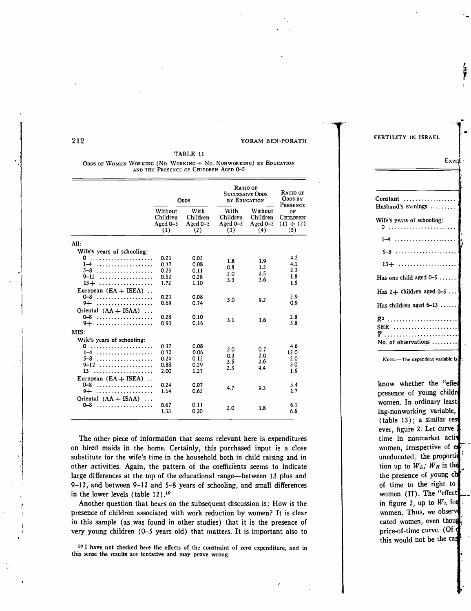$\cdot$ 

|                                           | <b>ODDS</b>                                 |                                       | RATIO OF<br><b>SUCCESSIVE ODDS</b><br><b>BY EDUCATION</b> |                                            | RATIO OF<br>ODDS BY                                        |
|-------------------------------------------|---------------------------------------------|---------------------------------------|-----------------------------------------------------------|--------------------------------------------|------------------------------------------------------------|
|                                           | Without<br>Children<br>$A$ ged $O-5$<br>(1) | With<br>Children<br>Aged $0-5$<br>(2) | With<br>Children<br>Aged $0-5$<br>(3)                     | Without<br>Children<br>Aged $0 - 5$<br>(4) | PRESENCE<br>OF<br><b>CHILDREN</b><br>$(1) \div (2)$<br>(5) |
| All:                                      |                                             |                                       |                                                           |                                            |                                                            |
| Wife's years of schooling:                |                                             |                                       |                                                           |                                            |                                                            |
| ٥                                         | 0.21                                        | 0.05                                  |                                                           |                                            | 4.2                                                        |
| $1 - 4$                                   | 0.37                                        | 0.08                                  | 1.8<br>0.8                                                | 1.9<br>1.2                                 | 4.1                                                        |
|                                           | 0.26                                        | 0.11                                  | 2.0                                                       | 2.5                                        | 2.3                                                        |
| $9 - 12$<br>.                             | 0.52                                        | 0.28                                  | 3.3                                                       | 3.6                                        | 1.8                                                        |
| $13 + \ldots \ldots \ldots \ldots \ldots$ | 1.72                                        | 1.10                                  |                                                           |                                            | 1.5                                                        |
| European $(EA + ISEA)$                    |                                             |                                       |                                                           |                                            |                                                            |
|                                           | 0.23                                        | 0.08                                  | 3.0                                                       | 9.2                                        | 2.9                                                        |
| $9+$                                      | 0.69                                        | 0.74                                  |                                                           |                                            | 0.9                                                        |
| Oriental $(AA + ISAA)$                    |                                             |                                       |                                                           |                                            |                                                            |
|                                           | 0.28                                        | 0.10                                  |                                                           |                                            | 2.8                                                        |
|                                           | 0.93                                        | 0.16                                  | 3.1                                                       | 1.6                                        | 5.8                                                        |
| MIS:                                      |                                             |                                       |                                                           |                                            |                                                            |
| Wife's years of schooling:                |                                             |                                       |                                                           |                                            |                                                            |
| 0                                         | 0.37                                        | 0.08                                  |                                                           |                                            | 4.6                                                        |
| $1 - 4$                                   | 0.72                                        | 0.06                                  | 2.0                                                       | 0.7                                        | 12.0                                                       |
| $5 - 8$                                   | 0.24                                        | 0.12                                  | 0.3                                                       | 2.0                                        | 2.0                                                        |
| $9-12$                                    | 0.88                                        | 0.29                                  | 3.5                                                       | 2.6                                        | 3.0                                                        |
|                                           | 2.00                                        | 1.27                                  | 2.3                                                       | 4.4                                        | 1.6                                                        |
| European $(EA + ISEA)$ .                  |                                             |                                       |                                                           |                                            |                                                            |
| $0 - 8$                                   | 0.24                                        | 0.07                                  |                                                           |                                            | 3.4                                                        |
| 9 <del>+</del>                            | 1.14                                        | 0.65                                  | 4.7                                                       | 9.3                                        | 1.7                                                        |
| Oriental $(AA + ISAA)$                    |                                             |                                       |                                                           |                                            |                                                            |
|                                           | 0.67                                        | 0.11                                  |                                                           |                                            | 6.1                                                        |
|                                           | 1.33                                        | 0.20                                  | 2.0                                                       | 1.8                                        | 6.6                                                        |

TABLE 11 ODDS OF WOMEN WORKING (NO. WORKING  $\div$  No. NONWORKING) BY EDUCATION AND THE PRESENCE OF CHILDREN AGED 0—5

The other piece of information that seems relevant here is expenditures on hired maids in the home, Certainly, this purchased input is a close substitute for the wife's time in the household both in child raising and in other activities. Again, the pattern of the coefficients seems to indicate large differences at the top of the educational range—between 13 plus and 9—12, and between 9—12 and 5—8 years of schooling, and small differences in the lower levels (table  $12$ ).<sup>10</sup>

Another question that bears on the subsequent discussion is: How is the presence of children associated with work reduction by women? It is clear in this sample (as was found in other studies) that it is the presence of very young children (0—5 years old) that matters. It is important also to

10 I have not checked here the effects of the constraint of zero expenditure, and in this sense the results are tentative and may prove wrong.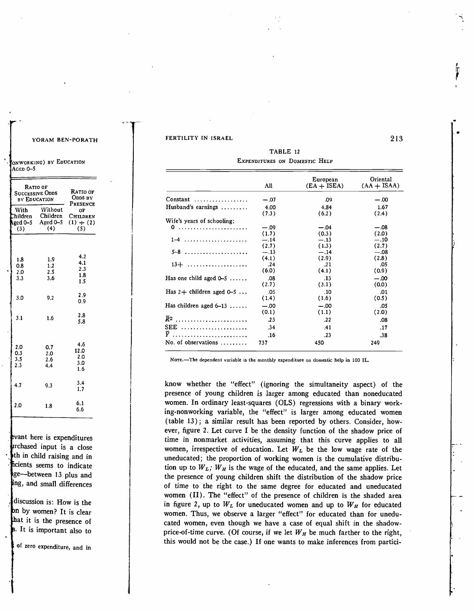|                                                  | All             | European<br>$(EA + ISEA)$ | Oriental<br>$(AA + ISAA)$ |
|--------------------------------------------------|-----------------|---------------------------|---------------------------|
| Constant $\dots\dots\dots\dots\dots\dots$        | $-.07$          | .09                       | $-.00$                    |
| Husband's earnings $\ldots \ldots$               | 4.00<br>(7.3)   | 4.84<br>(6.2)             | 1.67<br>(2.4)             |
| Wife's years of schooling:                       |                 |                           |                           |
|                                                  | $-.09$<br>(1.7) | $-.04$                    | $-.08$                    |
|                                                  | $-.14$          | (0.3)<br>$-.13$           | (2.0)<br>$-.10$           |
| $5 - 8$                                          | (2.7)<br>$-.13$ | (1.3)<br>$-.14$           | (2.7)<br>$-.08$           |
| $13 + \ldots \ldots \ldots \ldots \ldots \ldots$ | (4.1)<br>.24    | (2.9)<br>.21              | (2.8)<br>.05              |
|                                                  | (6.0)           | (4.1)                     | (0.9)                     |
| Has one child aged $0-5$                         | .08<br>(2.7)    | .13<br>(3.1)              | $-.00$<br>(0.0)           |
| Has $2+$ children aged $0-5$                     | .05<br>(1.4)    | .10<br>(1.6)              | .01<br>(0.5)              |
| Has children aged $6-13$                         | $-.00$<br>(0.1) | $-0.00$<br>(1.1)          | .05<br>(2.0)              |
| $\bar{R}^2$                                      | .23             | .22                       | .08                       |
| SEE                                              | .34             | .41                       | .17                       |
| $\overline{Y}$                                   | .16             | .23                       | .38                       |
| No. of observations $\ldots$                     | 737             | 450                       | 249                       |

TABLE 12 EXPENDITURES ON DOMESTIC HELP

Nore.—The dependent variable is the monthly expenditure on domestic help in 100 IL.

know whether the "effect" (ignoring the simultaneity aspect) of the presence of young children is larger among educated than noneducated women. In ordinary least-squares (OLS) regressions with a binary working-nonworking variable, the "effect" is larger among educated women (table 13); a similar result has been reported by others. Consider, however, figure 2. Let curve I be the density function of the shadow price of time in nonmarket activities, assuming that this curve applies to all women, irrespective of education. Let  $W_L$  be the low wage rate of the uneducated; the proportion of working women is the cumulative distribution up to  $W_L$ ;  $W_H$  is the wage of the educated, and the same applies. Let the presence of young children shift the distribution of the shadow price of time to the right to the same degree for educated and uneducated women (II). The "effect" of the presence of children is the shaded area in figure 2, up to  $W_L$  for uneducated women and up to  $W_H$  for educated women. Thus, we observe a larger "effect" for educated than for uneducated women, even though we have a case of equal shift in the shadowprice-of-time curve. (Of course, if we let  $W_H$  be much farther to the right, this would not be the case.) If one wants to make inferences from partici-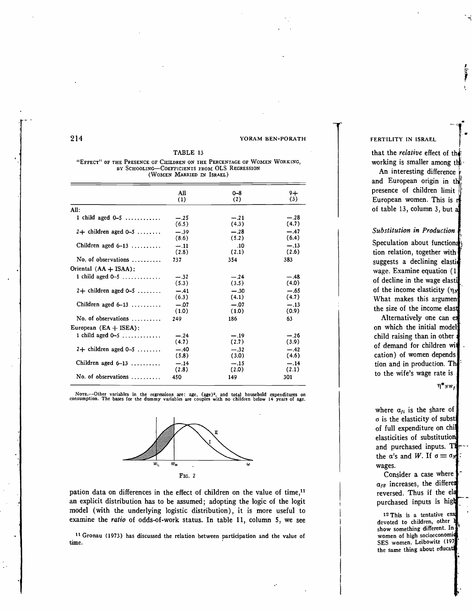| All             | $0 - 8$ | $9+$            |
|-----------------|---------|-----------------|
| (1)             | (2)     | (3)             |
|                 |         |                 |
| $-.25$          | $-.21$  | $-.28$          |
| (6.5)           | (4.3)   | (4.7)           |
| $-.39$          | $-.28$  | $-.47$          |
| (8.6)           | (5.2)   | (6.4)           |
| $-.11$          | .10     | $-.13$          |
| (2.8)           | (2.1)   | (2.6)           |
| 737             | 354     | 383             |
|                 |         |                 |
| $-.32$          | $-.24$  | $-.48$          |
| (5.3)           | (3.5)   | (4.0)           |
| $-.41$          | $-.30$  | $-.65$          |
| (6.3)           | (4.1)   | (4.7)           |
| $-.07$<br>(1.0) | $-07$   | $-.13$<br>(0.9) |
| 249             | 186     | 63              |
|                 |         |                 |
| $-.24$          | $-.19$  | $-.26$          |
| (4.7)           | (2.7)   | (3.9)           |
| $-.40$          | $-.32$  | $-.42$          |
| (5.8)           | (3.0)   | (4.6)           |
| $-.14$          | $-.15$  | $-.14$          |
| (2.8)           | (2.0)   | (2.1)           |
| 450             | 149     | 301             |
|                 |         | (1.0)           |

#### TABLE 13

"EFFEcT" OF THE PRESENCE OF CHILDREN ON THE PERCENTAGE OF WOMEN WORKING, BY SCHOOLING-COEFFICIENTS FROM OLS REGRESSION (WOMEN MARRIED IN ISRAEL)

NOTE.-—Other variables in the regressions are: age, (age)2, and total household expenditures on consumption. The bases for the dummy variables are couples with no children below 14 years of age.



pation data on differences in the effect of children on the value of time,<sup>11</sup> an explicit distribution has to be assumed; adopting the logic of the logit model (with the underlying logistic distribution), it is more useful to examine the ratio of odds-of-work status. In table 11, column 5, we see

ii Gronau (1973) has discussed the relation between participation and the value of time.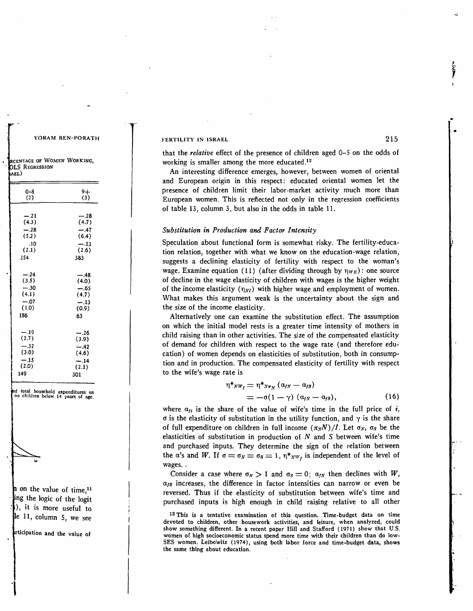that the relative effect of the presence of children aged 0—5 on the odds of working is smaller among the more educated.<sup>12</sup>

An interesting difference emerges, however, between women of oriental and European origin in this respect: educated oriental women let the presence of children limit their labor-market activity much more than European women. This is reflected not only in the regression coefficients of table 13, column 3, but also in the odds in table 11.

# Substitution in Production and Factor Intensity

Speculation about functional form is somewhat risky. The fertility-education relation, together with what we know on the education-wage relation, suggests a declining elasticity of fertility with respect to the woman's wage. Examine equation (11) (after dividing through by  $\eta_{WE}$ ): one source of decline in the wage elasticity of children with wages is the higher weight of the income elasticity  $(\eta_{NI})$  with higher wage and employment of women. What makes this argument weak is the uncertainty about the sign and the size of the income elasticity.

Alternatively one can examine the substitution effect. The assumption on which the initial model rests is a greater time intensity of mothers in child raising than in other activities. The size of the compensated elasticity of demand for children with respect to the wage rate (and therefore education) of women depends on elasticities of substitution, both in consumption and in production. The compensated elasticity of fertility with respect to the wife's wage rate is

$$
\eta^*_{NW_f} = \eta^*_{N\pi_N} (\alpha_{fN} - \alpha_{fS})
$$
  
=  $-\sigma(1 - \gamma) (\alpha_{fN} - \alpha_{fS}),$  (16)

where  $\alpha_{ji}$  is the share of the value of wife's time in the full price of i,  $\sigma$  is the elasticity of substitution in the utility function, and  $\gamma$  is the share of full expenditure on children in full income  $(\pi_N N)/I$ . Let  $\sigma_N$ ,  $\sigma_S$  be the elasticities of substitution in production of  $N$  and  $S$  between wife's time and purchased inputs. They determine the sign of the relation between the  $\alpha$ 's and W. If  $\sigma = \sigma_N = \sigma_S = 1$ ,  $\eta *_{NW}$ , is independent of the level of wages. .

Consider a case where  $\sigma_N>1$  and  $\sigma_S=0$ ;  $\alpha_{fN}$  then declines with W,  $\alpha_{18}$  increases, the difference in factor intensities can narrow or even be reversed. Thus if the elasticity of substitution between wife's time and purchased inputs is high enough in child raising relative to all other

<sup>12</sup> This is a tentative examination of this question. Time-budget data on time devoted to children, other housework activities, and leisure, when analyzed, could show something different. In a recent paper Hill and Stafford (1971) show that U.S. women of high socioeconomic status spend more time with their children than do low-SES women. Leibowitz (1974), using both labor force and time-budget data, shows the same thing about education.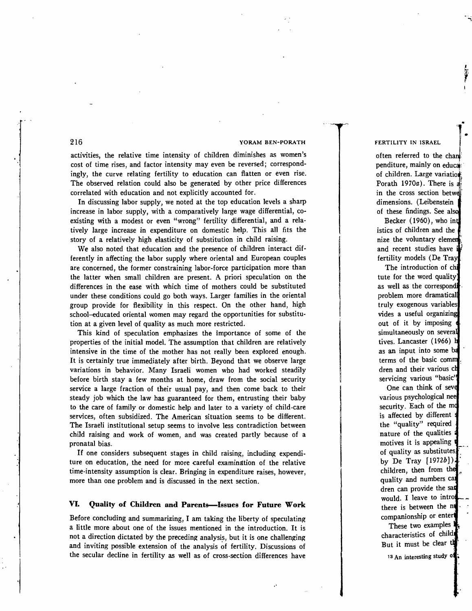# 216 YORAM BEN-PORATH

 $\cdot$ 

activities, the relative time intensity of children diminishes as women's cost of time rises, and factor intensity may even be reversed; correspondingly, the curve relating fertility to education can flatten or even rise. The observed relation could also be generated by other price differences correlated with education and not explicitly accounted for.

In discussing labor supply, we noted at the top education levels a sharp increase in labor supply, with a comparatively large wage differential, coexisting with a modest or even "wrong" fertility differential, and a relatively large increase in expenditure on domestic help. This all fits the story of a relatively high elasticity of substitution in child raising.

We also noted that education and the presence of children interact differently in affecting the labor supply where oriental and European couples are concerned, the former constraining labor-force participation more than the latter when small children are present. A priori speculation on the differences in the ease with which time of mothers could be substituted under these conditions could go both ways. Larger families in the oriental group provide for flexibility in this respect. On the other hand, high school—educated oriental women may regard the opportunities for substitution at a given level of quality as much more restricted.

This kind of speculation emphasizes the importance of some of the properties of the initial model. The assumption that children are relatively intensive in the time of the mother has not really been explored enough. It is certainly true immediately after birth. Beyond that we observe large variations in behavior. Many Israeli women who had worked steadily before birth stay a few months at home, draw from the social security service a large fraction of their usual pay, and then come back to their steady job which the law has guaranteed for them, entrusting their baby to the care of family or domestic help and later to a variety of child-care services, often subsidized. The American situation seems to be different. The Israeli institutional setup seems to involve less contradiction between child raising and work of women, and was created partly because of a pronatal bias.

If one considers subsequent stages in child raising, including expenditure on education, the need for more careful examination of the relative time-intensity assumption is clear. Bringing in expenditure raises, however, more than one problem and is discussed in the next section.

# VI. Quality of Children and Parents—Issues for Future Work

Before concluding and summarizing, I am taking the liberty of speculating a little more about one of the issues mentioned in the introduction. It is not a direction dictated by the preceding analysis, but it is one challenging and inviting possible extension of the analysis of fertility. Discussions of the secular decline in fertility as well as of cross-section differences have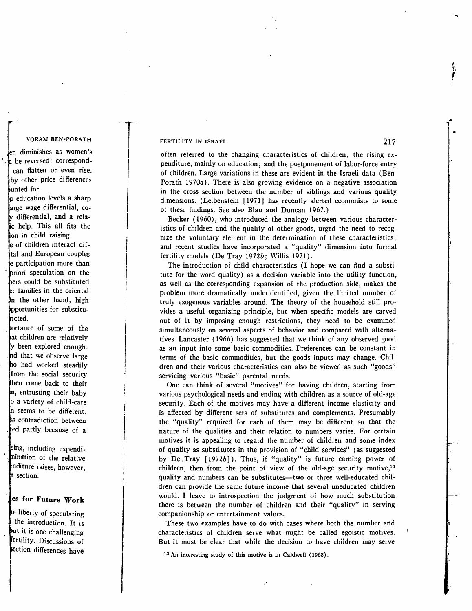often referred to the changing characteristics of children; the rising expenditure, mainly on education; and the postponement of labor-force entry of children. Large variations in these are evident in the Israeli data (Ben-Porath 1970a). There is also growing evidence on a negative association in the cross section between the number of siblings and various quality dimensions. (Leibenstein [1971] has recently alerted economists to some of these findings. See also Blau and Duncan 1967.)

Becker (1960), who introduced the analogy between various characteristics of children and the quality of other goods, urged the need to recognize the voluntary element in the determination of these characteristics; and recent studies have incorporated a "quality" dimension into formal fertility models (De Tray 1972b; Willis 1971).

The introduction of child characteristics (I hope we can find a substitute for the word quality) as a decision variable into the utility function, as well as the corresponding expansion of the production side, makes the problem more dramatically underidentified, given the limited number of truly exogenous variables around. The theory of the household still provides a useful organizing principle, but when specific models are carved out of it by imposing enough restrictions, they need to be examined simultaneously on several aspects of behavior and compared with alternatives. Lancaster (1966) has suggested that we think of any observed good as an input into some basic commodities. Preferences can be constant in terms of the basic commodities, but the goods inputs may change. Children and their various characteristics can also be viewed as such "goods" servicing various "basic" parental needs.

One can think of several "motives" for having children, starting from various psychological needs and ending with children as a source of old-age security. Each of the motives may have a different income elasticity and is affected by different sets of substitutes and complements. Presumably the "quality" required for each of them may be different so that the nature of the qualities and their relation to numbers varies. For certain motives it is appealing to regard the number of children and some index of quality as substitutes in the provision of "child services" (as suggested by De .Tray [1972b]). Thus, if "quality" is future earning power of children, then from the point of view of the old-age security motive, $13$ quality and numbers can be substitutes—two or three well-educated children can provide the same future income that several uneducated children would. I leave to introspection the judgment of how much substitution there is between the number of children and their "quality" in serving companionship or entertainment values.

These two examples have to do with cases where both the number and characteristics of children serve what might be called egoistic motives. But it must be clear that while the decision to have children may serve

 $\cdot$ 

<sup>13</sup> An interesting study of this motive is in Caldwell (1968).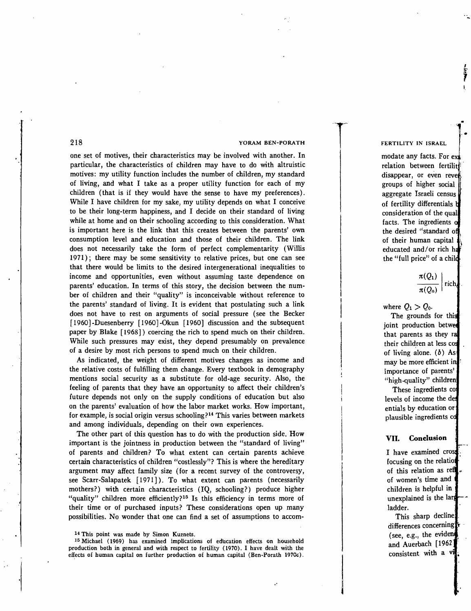one set of motives, their characteristics may be involved with another. In particular, the characteristics of children may have to do with altruistic motives: my utility function includes the number of children, my standard of living, and what I take as a proper utility function for each of my children (that is if they would have the sense to have my preferences). While I have children for my sake, my utility depends on what I conceive to be their long-term happiness, and I decide on their standard of living while at home and on their schooling according to this consideration. What is important here is the link that this creates between the parents' own consumption level and education and those of their children. The link does not necessarily take the form of perfect complementarity (Willis 1971); there may be some sensitivity to relative prices, but one can see that there would be limits to the desired intergenerational inequalities to income and opportunities, even without assuming taste dependence on parents' education. In terms of this story, the decision between the number of children and their "quality" is inconceivable without reference to the parents' standard of living. It is evident that postulating such a link does not have to rest on arguments of social pressure (see the Becker [1960] -Duesenberry [1960] -Okun [1960] discussion and the subsequent paper by Blake [19681) coercing the rich to spend much on their children. While such pressures may exist, they depend presumably on prevalence of a desire by most rich persons to spend much on their children.

As indicated, the weight of different motives changes as income and the relative costs of fulfilling them change. Every textbook in demography mentions social security as a substitute for old-age security. Also, the feeling of parents that they have an opportunity to affect their children's future depends not only on the supply conditions of education but also on the parents' evaluation of how the labor market works. How important, for example, is social origin versus schooling?<sup>14</sup> This varies between markets and among individuals, depending on their own experiences.

The other part of this question has to do with the production side. How important is the jointness in production between the "standard of living" of parents and children? To what extent can certain parents achieve certain characteristics of children "costlessly"? This is where the hereditary argument may affect family size (for a recent survey of the controversy, see Scarr-Salapatek [1971]). To what extent can parents (necessarily mothers?) with certain characteristics (IQ, schooling?) produce higher "quality" children more efficiently?<sup>15</sup> Is this efficiency in terms more of their time or of purchased inputs? These considerations open up many possibilities. No wonder that one can find a set of assumptions to accom-

٠

<sup>14</sup> This point was made by Simon Kuznets.

<sup>15</sup> Michael (1969) has examined implications of education effects on household production both in general and with respect to fertility (1970). I have dealt with the effects of human capital on further production of human capital (Ben-Porath 1970c).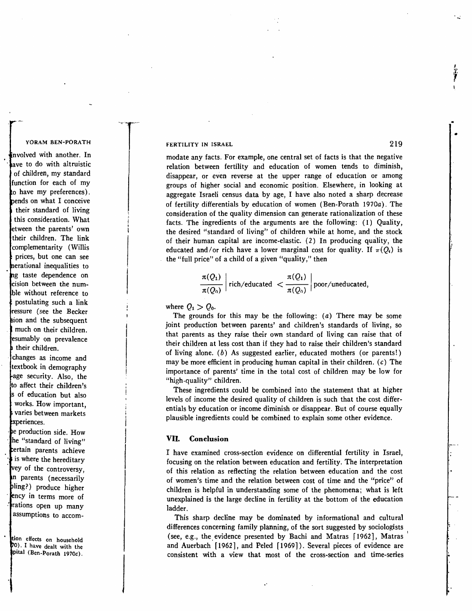FERTILITY IN ISRAEL modate any facts. For example, one central set of facts is that the negative relation between fertility and education of women tends to diminish, disappear, or even reverse at the upper range of education or among groups of higher social and economic position. Elsewhere, in looking at aggregate Israeli census data by age, I have also noted a sharp decrease of fertility differentials by education of women (Ben-Porath 1970a). The consideration of the quality dimension can generate rationalization of these facts. The ingredients of the arguments are the following: (1) Quality, the desired "standard of living" of children while at home, and the stock of their human capital are income-elastic. (2) In producing quality, the educated and/or rich have a lower marginal cost for quality. If  $\pi(Q_i)$  is the "full price" of a child of a given "quality," then

$$
\left.\frac{\pi(Q_1)}{\pi(Q_0)}\right|\text{rich/educated } < \frac{\pi(Q_1)}{\pi(Q_0)}\right|\text{poor/uneducated,}
$$

where  $Q_1 > Q_0$ .

The grounds for this may be the following: (a) There may be some joint production between parents' and children's standards of living, so that parents as they raise their own standard of living can raise that of their children at less cost than if they had to raise their children's standard of living alone.  $(b)$  As suggested earlier, educated mothers (or parents!) may be more efficient in producing human capital in their children.  $(c)$  The importance of parents' time in the total cost of children may be low for "high-quality" children.

These ingredients could be combined into the statement that at higher levels of income the desired quality of children is such that the cost differentials by education or income diminish or disappear. But of course equally plausible ingredients could be combined to explain some other evidence.

# VII. Conclusion

I have examined cross-section evidence on differential fertility in Israel, focusing on the relation between education and fertility. The interpretation of this relation as reflecting the relation between education and the cost of women's time and the relation between cost of time and the "price" of children is helpful in understanding some of the phenomena; what is left unexplained is the large decline in fertility at the bottom of the education ladder.

This sharp decline may be dominated by informational and cultural differences concerning family planning, of the sort suggested by sociologists (see, e.g., the evidence presented by Bachi and Matras [1962], Matras and Auerbach [1962], and Peled [1969]). Several pieces of evidence are consistent with a view that most of the cross-section and time-series

 $\epsilon^2$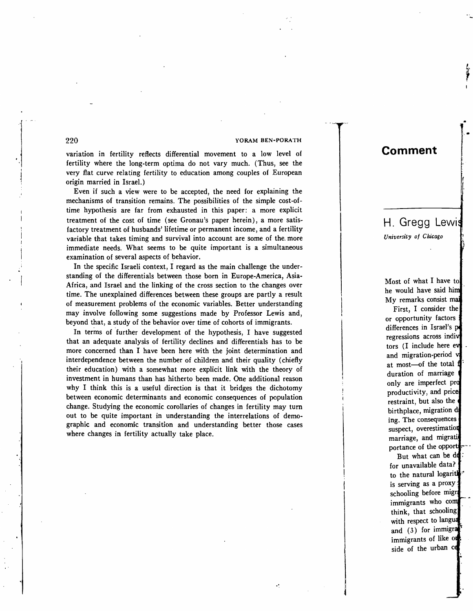#### 220 YORAM BEN-PORATH

 $\bullet$ 

variation in fertility reflects differential movement to a low level of fertility where the long-term optima do not vary much. (Thus, see the very flat curve relating fertility to education among couples of European origin married in Israel.)

Even if such a view were to be accepted, the need for explaining the mechanisms of transition remains. The possibilities of the simple cost-oftime hypothesis are far from exhausted in this paper: a more explicit treatment of the cost of time (see Gronau's paper herein), a more satisfactory treatment of husbands' lifetime or permanent income, and a fertility variable that takes timing and survival into account are some of the. more immediate needs. What seems to be quite important is a simultaneous examination of several aspects of behavior.

In the specific Israeli context, I regard as the main challenge the understanding of the differentials between those born in Europe-America, Asia-Africa, and Israel and the linking of the cross section to the changes over time. The unexplained differences between these groups are partly a result of measurement problems of the economic variables. Better understanding may involve following some suggestions made by Professor Lewis and, beyond that, a study of the behavior over time of cohorts of immigrants.

In terms of further development of the hypothesis, I have suggested that an adequate analysis of fertility declines and differentials has to be more concerned than I have been here with the joint determination and interdependence between the number of children and their quality (chiefly their education) with a somewhat more explicit link with the theory of investment in humans than has hitherto been made. One additional reason why I think this is a useful direction is that it bridges the dichotomy between economic determinants and economic consequences of population change. Studying the economic corollaries of changes in fertility may turn out to be quite important in understanding the interrelations of demographic and economic transition and understanding better those cases where changes in fertility actually take place.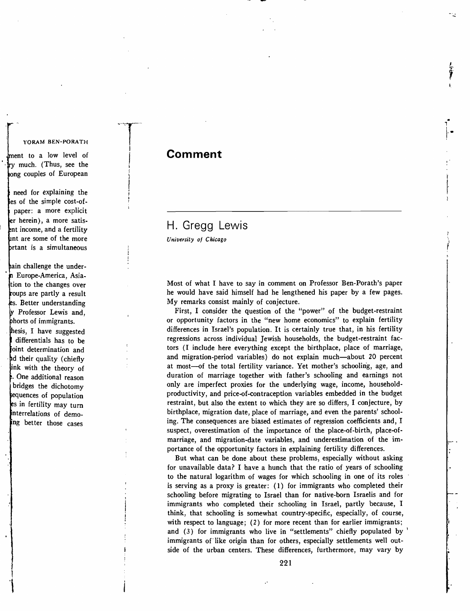# Comment

# H. Gregg Lewis University of Chicago

Most of what I have to say in comment on Professor Ben-Porath's paper he would have said himself had he lengthened his paper by a few pages. My remarks consist mainly of conjecture.

First, I consider the question of the "power" of the budget-restraint or opportunity factors in the "new home economics" to explain fertility differences in Israel's population. It is certainly true that, in his fertility regressions across individual Jewish households, the budget-restraint factors (I include here everything except the birthplace, place of marriage, and migration-period variables) do not explain much—about 20 percent at most—of the total fertility variance. Yet mother's schooling, age, and duration of marriage together with father's schooling and earnings not only are imperfect proxies for the underlying wage, income, householdproductivity, and price-of-contraception variables embedded in the budget restraint, but also the extent to which they are so differs, I conjecture, by birthplace, migration date, place of marriage, and even the parents' schooling. The consequences are biased estimates of regression coefficients and, I suspect, overestimation of the importance of the place-of-birth, place-ofmarriage, and migration-date variables, and underestimation of the importance of the opportunity factors in explaining fertility differences.

But what can be done about these problems, especially without asking for unavailable data? I have a hunch that the ratio of years of schooling to the natural logarithm of wages for which schooling in one of its roles is serving as a proxy is greater: (1) for immigrants who completed their schooling before migrating to Israel than for native-born Israelis and for immigrants who completed their schooling in Israel, partly because, I think, that schooling is somewhat country-specific, especially, of course, with respect to language; (2) for more recent than for earlier immigrants; and (3) for immigrants who live in "settlements" chiefly populated by  $'$ immigrants of like origin than for others, especially settlements well outside of the urban centers. These differences, furthermore, may vary by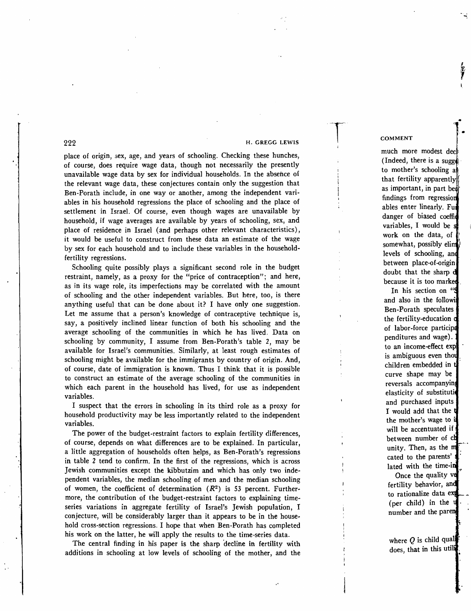$\cdot$ 

I COMMENT

place of origin, sex, age, and years of schooling. Checking these hunches, of course, does require wage data, though not necessarily the presently unavailable wage data by sex for individual households. In the absence of the relevant wage data, these conjectures contain only the suggestion that Ben-Porath include, in one way or another, among the independent variables in his household regressions the place of schooling and the place of settlement in Israel. Of course, even though wages are unavailable by household, if wage averages are available by years of schooling, sex, and place of residence in Israel (and perhaps other relevant characteristics), it would be useful to construct from these data an estimate of the wage by sex for each household and to include these variables in the householdfertility regressions.

Schooling quite possibly plays a significant second role in the budget restraint, namely, as a proxy for the "price of contraception"; and here, as in its wage role, its imperfections may be correlated with the amount of schooling and the other independent variables. But here, too, is there anything useful that can be done about it? I have only one suggestion. Let me assume that a person's knowledge of contraceptive technique is, say, a positively inclined linear function of both his schooling and the average schooling of the communities in which he has lived. Data on schooling by community, I assume from Ben-Porath's table 2, may be available for Israel's communities. Similarly, at least rough estimates of schooling might be available for the immigrants by country of origin. And, of course, date of immigration is known. Thus I think that it is possible to construct an estimate of the average schooling of the communities in which each parent in the household has lived, for use as independent variables.

I suspect that the errors in schooling in its third role as a proxy for household productivity may be less importantly related to the independent variables.

The power of the budget-restraint factors to explain fertility differences, of course, depends on what differences are to be explained. In particular, a little aggregation of households often helps, as Ben-Porath's regressions in table 2 tend to confirm. In the first of the regressions, which is across Jewish communities except the kibbutzim and which has only two independent variables, the median schooling of men and the median schooling of women, the coefficient of determination  $(R^2)$  is 53 percent. Furthermore, the contribution of the budget-restraint factors to explaining timeseries variations in aggregate fertility of Israel's Jewish population, I conjecture, will be considerably larger than it appears to be in the household cross-section regressions. I hope that when Ben-Porath has completed his work on the latter, he will apply the results to the time-series data.

The central finding in his paper is the sharp decline in fertility with additions in schooling at low levels of schooling of the mother, and the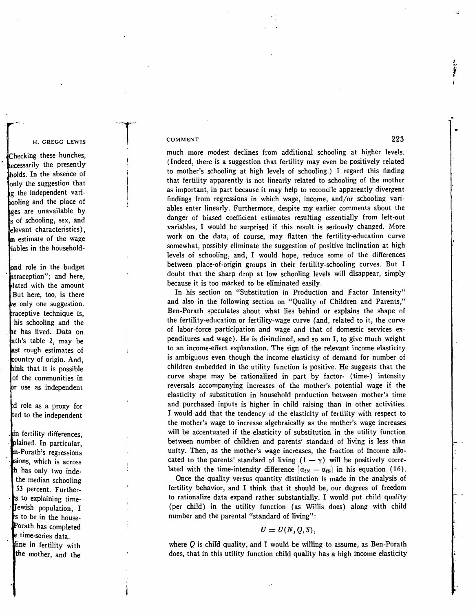# **223**

much more modest declines from additional schooling at higher levels. (Indeed, there is a suggestion that fertility may even be positively related to mother's schooling at high levels of schooling.) I regard this finding that fertility apparently is not linearly related to schooling of the mother as important, in part because it may help to reconcile apparently divergent findings from regressions in which wage, income, and/or schooling variables enter linearly. Furthermore, despite my earlier comments about the danger of biased coefficient estimates resulting essentially from left-out variables, I would be surprised if this result is seriously changed. More work on the data, of course, may flatten the fertility-education curve somewhat, possibly eliminate the suggestion of positive inclination at high levels of schooling, and, I would hope, reduce some of the differences between place-of-origin groups in their fertility-schooling curves. But I doubt that the sharp drop at low schooling levels will disappear, simply because it is too marked to be eliminated easily.

In his section on "Substitution in Production and Factor Intensity" and also in the following section on "Quality of Children and Parents," Ben-Porath speculates about what lies behind or explains the shape of the fertility-education or fertility-wage curve (and, related to it, the curve of labor-force participation and wage and that of domestic services expenditures and wage). He is disinclined, and so am I, to give much weight to an income-effect explanation. The sign of the relevant income elasticity is ambiguous even though the income elasticity of demand for number of children embedded in the utility function is positive. He suggests that the curve shape may be rationalized in part by factor- (time-) intensity reversals accompanying increases of the mother's potential wage if the elasticity of substitution in household production between mother's time and purchased inputs is higher in child raising than in other activities. I would add that the tendency of the elasticity of fertility with respect to the mother's wage to increase algebraically as the mother's wage increases will be accentuated if the elasticity of substitution in the utility function between number of children and parents' standard of living is less than unity. Then, as the mother's wage increases, the fraction of income allocated to the parents' standard of living  $(1 - \gamma)$  will be positively correlated with the time-intensity difference  $|\alpha_{fN} - \alpha_{fS}|$  in his equation (16).

Once the quality versus quantity distinction is made in the analysis of fertility behavior, and I think that it should be, our degrees of freedom to rationalize data expand rather substantially. I would put child quality (per child) in the utility function (as Willis does) along with child number and the parental "standard of living":

$$
U=U(N,Q,S),
$$

where Q is child quality, and I would be willing to assume, as Ben-Porath does, that in this utility function child quality has a high income elasticity

 $\cdot$